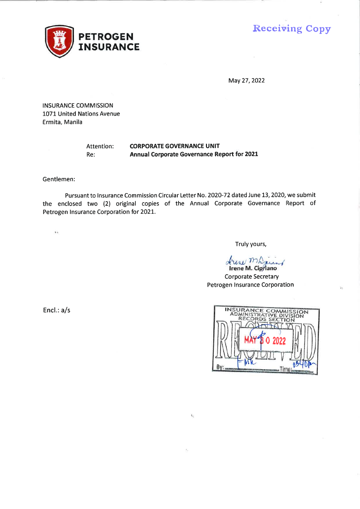

**Receiving Copy** 

May 27, 2022

**INSURANCE COMMISSION** 1071 United Nations Avenue Ermita, Manila

#### **CORPORATE GOVERNANCE UNIT** Attention:  $Re:$ Annual Corporate Governance Report for 2021

Gentlemen:

Pursuant to Insurance Commission Circular Letter No. 2020-72 dated June 13, 2020, we submit the enclosed two (2) original copies of the Annual Corporate Governance Report of Petrogen Insurance Corporation for 2021.

 $\mathcal{N}_1$ 

 $\mathbf{t}$  i

Truly yours,

drew marino

**Corporate Secretary** Petrogen Insurance Corporation

Encl.: a/s

| INSURANCE COMMISSION           |
|--------------------------------|
| <b>ADMINISTRATIVE DIVISION</b> |
| RECORDS SECTION                |
| $\sqrt{1}$                     |
|                                |
| 0 2022                         |
|                                |
|                                |
|                                |
|                                |
|                                |

 $\Sigma_{\rm b}$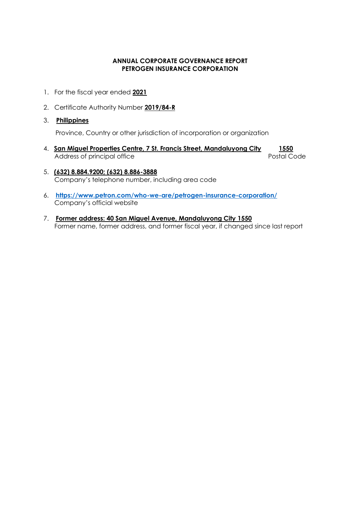# **ANNUAL CORPORATE GOVERNANCE REPORT PETROGEN INSURANCE CORPORATION**

- 1. For the fiscal year ended **2021**
- 2. Certificate Authority Number **2019/84-R**
- 3. **Philippines**

Province, Country or other jurisdiction of incorporation or organization

- 4. **San Miguel Properties Centre, 7 St. Francis Street, Mandaluyong City 1550** Address of principal office **Postal Code** Postal Code
- 5. **(632) 8.884.9200; (632) 8.886-3888** Company's telephone number, including area code
- 6. **<https://www.petron.com/who-we-are/petrogen-insurance-corporation/>** Company's official website
- 7. **Former address: 40 San Miguel Avenue, Mandaluyong City 1550** Former name, former address, and former fiscal year, if changed since last report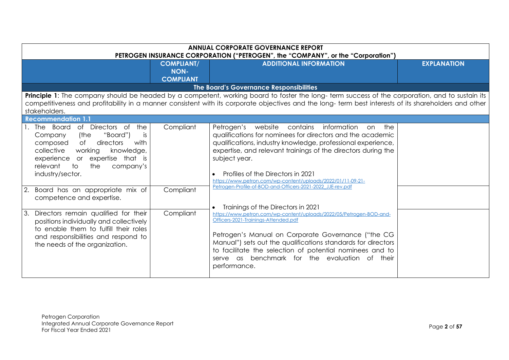| <b>ANNUAL CORPORATE GOVERNANCE REPORT</b><br>PETROGEN INSURANCE CORPORATION ("PETROGEN", the "COMPANY", or the "Corporation")                                                                                                                                                                                                                     |                                                      |                                                                                                                                                                                                                                                                                                                                                                                                                                           |                    |
|---------------------------------------------------------------------------------------------------------------------------------------------------------------------------------------------------------------------------------------------------------------------------------------------------------------------------------------------------|------------------------------------------------------|-------------------------------------------------------------------------------------------------------------------------------------------------------------------------------------------------------------------------------------------------------------------------------------------------------------------------------------------------------------------------------------------------------------------------------------------|--------------------|
|                                                                                                                                                                                                                                                                                                                                                   | <b>COMPLIANT/</b><br><b>NON-</b><br><b>COMPLIANT</b> | <b>ADDITIONAL INFORMATION</b>                                                                                                                                                                                                                                                                                                                                                                                                             | <b>EXPLANATION</b> |
|                                                                                                                                                                                                                                                                                                                                                   |                                                      | The Board's Governance Responsibilities                                                                                                                                                                                                                                                                                                                                                                                                   |                    |
| stakeholders.                                                                                                                                                                                                                                                                                                                                     |                                                      | Principle 1: The company should be headed by a competent, working board to foster the long-term success of the corporation, and to sustain its<br>competitiveness and profitability in a manner consistent with its corporate objectives and the long- term best interests of its shareholders and other                                                                                                                                  |                    |
| <b>Recommendation 1.1</b>                                                                                                                                                                                                                                                                                                                         |                                                      |                                                                                                                                                                                                                                                                                                                                                                                                                                           |                    |
| of Directors of<br>the<br>Board<br>1. The<br>"Board")<br>Company<br>(the<br><i>is</i><br>of<br>directors<br>with<br>composed<br>collective<br>working<br>knowledge,<br>experience or expertise that is<br>relevant<br>the<br>to<br>company's<br>industry/sector.<br>Board has an appropriate mix of<br><sup>2.</sup><br>competence and expertise. | Compliant<br>Compliant                               | Petrogen's website contains<br>information<br>the<br>on<br>qualifications for nominees for directors and the academic<br>qualifications, industry knowledge, professional experience,<br>expertise, and relevant trainings of the directors during the<br>subject year.<br>Profiles of the Directors in 2021<br>https://www.petron.com/wp-content/uploads/2022/01/11-09-21-<br>Petrogen-Profile-of-BOD-and-Officers-2021-2022_JJE-rev.pdf |                    |
| 3.<br>Directors remain qualified for their<br>positions individually and collectively<br>to enable them to fulfill their roles<br>and responsibilities and respond to<br>the needs of the organization.                                                                                                                                           | Compliant                                            | Trainings of the Directors in 2021<br>https://www.petron.com/wp-content/uploads/2022/05/Petrogen-BOD-and-<br>Officers-2021-Trainings-Attended.pdf<br>Petrogen's Manual on Corporate Governance ("the CG<br>Manual") sets out the qualifications standards for directors<br>to facilitate the selection of potential nominees and to<br>serve as benchmark for the evaluation of their<br>performance.                                     |                    |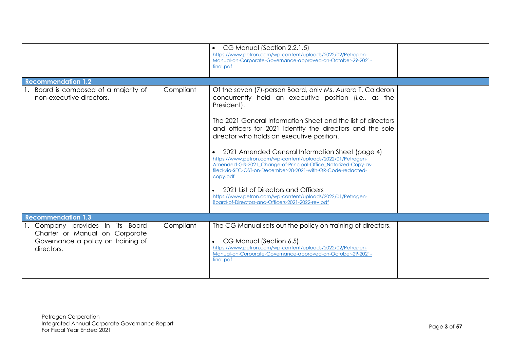|                                                                                                                        |           | CG Manual (Section 2.2.1.5)<br>$\bullet$<br>https://www.petron.com/wp-content/uploads/2022/02/Petrogen-<br>Manual-on-Corporate-Governance-approved-on-October-29-2021-<br>final.pdf                                                                                                                                                                                                                                                                                                                                                                                                                                                                                                                                                     |  |
|------------------------------------------------------------------------------------------------------------------------|-----------|-----------------------------------------------------------------------------------------------------------------------------------------------------------------------------------------------------------------------------------------------------------------------------------------------------------------------------------------------------------------------------------------------------------------------------------------------------------------------------------------------------------------------------------------------------------------------------------------------------------------------------------------------------------------------------------------------------------------------------------------|--|
| <b>Recommendation 1.2</b>                                                                                              |           |                                                                                                                                                                                                                                                                                                                                                                                                                                                                                                                                                                                                                                                                                                                                         |  |
| 1. Board is composed of a majority of<br>non-executive directors.                                                      | Compliant | Of the seven (7)-person Board, only Ms. Aurora T. Calderon<br>concurrently held an executive position (i.e., as the<br>President).<br>The 2021 General Information Sheet and the list of directors<br>and officers for 2021 identify the directors and the sole<br>director who holds an executive position.<br>2021 Amended General Information Sheet (page 4)<br>https://www.petron.com/wp-content/uploads/2022/01/Petrogen-<br>Amended-GIS-2021_Change-of-Principal-Office_Notarized-Copy-as-<br>filed-via-SEC-OST-on-December-28-2021-with-QR-Code-redacted-<br>copy.pdf<br>2021 List of Directors and Officers<br>https://www.petron.com/wp-content/uploads/2022/01/Petrogen-<br>Board-of-Directors-and-Officers-2021-2022-rev.pdf |  |
| <b>Recommendation 1.3</b>                                                                                              |           |                                                                                                                                                                                                                                                                                                                                                                                                                                                                                                                                                                                                                                                                                                                                         |  |
| 1. Company provides in its Board<br>Charter or Manual on Corporate<br>Governance a policy on training of<br>directors. | Compliant | The CG Manual sets out the policy on training of directors.<br>CG Manual (Section 6.5)<br>$\bullet$<br>https://www.petron.com/wp-content/uploads/2022/02/Petrogen-<br>Manual-on-Corporate-Governance-approved-on-October-29-2021-<br>final.pdf                                                                                                                                                                                                                                                                                                                                                                                                                                                                                          |  |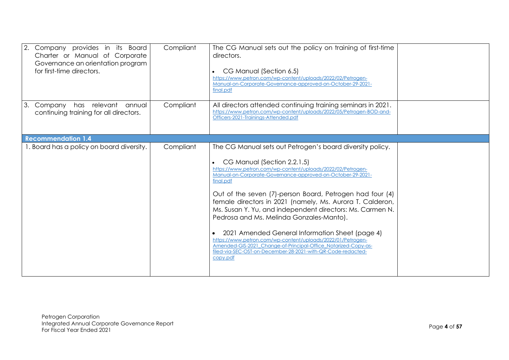| 2. Company provides in its Board<br>Charter or Manual of Corporate<br>Governance an orientation program<br>for first-time directors. | Compliant | The CG Manual sets out the policy on training of first-time<br>directors.<br>CG Manual (Section 6.5)<br>https://www.petron.com/wp-content/uploads/2022/02/Petrogen-<br>Manual-on-Corporate-Governance-approved-on-October-29-2021-<br>final.pdf                                                                                                                                                                                                                                                                                                                                                                                                                                                                                       |  |
|--------------------------------------------------------------------------------------------------------------------------------------|-----------|---------------------------------------------------------------------------------------------------------------------------------------------------------------------------------------------------------------------------------------------------------------------------------------------------------------------------------------------------------------------------------------------------------------------------------------------------------------------------------------------------------------------------------------------------------------------------------------------------------------------------------------------------------------------------------------------------------------------------------------|--|
| 3.<br>Company has relevant<br>annual<br>continuing training for all directors.                                                       | Compliant | All directors attended continuing training seminars in 2021.<br>https://www.petron.com/wp-content/uploads/2022/05/Petrogen-BOD-and-<br>Officers-2021-Trainings-Attended.pdf                                                                                                                                                                                                                                                                                                                                                                                                                                                                                                                                                           |  |
| <b>Recommendation 1.4</b>                                                                                                            |           |                                                                                                                                                                                                                                                                                                                                                                                                                                                                                                                                                                                                                                                                                                                                       |  |
| 1. Board has a policy on board diversity.                                                                                            | Compliant | The CG Manual sets out Petrogen's board diversity policy.<br>CG Manual (Section 2.2.1.5)<br>https://www.petron.com/wp-content/uploads/2022/02/Petrogen-<br>Manual-on-Corporate-Governance-approved-on-October-29-2021-<br>final.pdf<br>Out of the seven (7)-person Board, Petrogen had four (4)<br>female directors in 2021 (namely, Ms. Aurora T. Calderon,<br>Ms. Susan Y. Yu, and independent directors: Ms. Carmen N.<br>Pedrosa and Ms. Melinda Gonzales-Manto).<br>2021 Amended General Information Sheet (page 4)<br>https://www.petron.com/wp-content/uploads/2022/01/Petrogen-<br>Amended-GIS-2021_Change-of-Principal-Office_Notarized-Copy-as-<br>filed-via-SEC-OST-on-December-28-2021-with-QR-Code-redacted-<br>copy.pdf |  |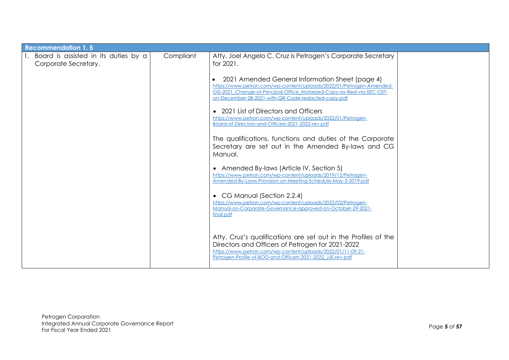| <b>Recommendation 1.5</b>                                       |           |                                                                                                                                                                                                                                                          |  |
|-----------------------------------------------------------------|-----------|----------------------------------------------------------------------------------------------------------------------------------------------------------------------------------------------------------------------------------------------------------|--|
| I. Board is assisted in its duties by a<br>Corporate Secretary. | Compliant | Atty. Joel Angelo C. Cruz is Petrogen's Corporate Secretary<br>for 2021.                                                                                                                                                                                 |  |
|                                                                 |           | 2021 Amended General Information Sheet (page 4)<br>https://www.petron.com/wp-content/uploads/2022/01/Petrogen-Amended-<br>GIS-2021 Change-of-Principal-Office Notarized-Copy-as-filed-via-SEC-OST-<br>on-December-28-2021-with-QR-Code-redacted-copy.pdf |  |
|                                                                 |           | • 2021 List of Directors and Officers<br>https://www.petron.com/wp-content/uploads/2022/01/Petrogen-<br>Board-of-Directors-and-Officers-2021-2022-rev.pdf                                                                                                |  |
|                                                                 |           | The qualifications, functions and duties of the Corporate<br>Secretary are set out in the Amended By-laws and CG<br>Manual.                                                                                                                              |  |
|                                                                 |           | • Amended By-laws (Article IV, Section 5)<br>https://www.petron.com/wp-content/uploads/2019/12/Petrogen-<br>Amended-By-Laws-Provision-on-Meeting-Schedule-May-3-2019.pdf                                                                                 |  |
|                                                                 |           | • CG Manual (Section 2.2.4)<br>https://www.petron.com/wp-content/uploads/2022/02/Petrogen-<br>Manual-on-Corporate-Governance-approved-on-October-29-2021-<br>final.pdf                                                                                   |  |
|                                                                 |           | Atty. Cruz's qualifications are set out in the Profiles of the<br>Directors and Officers of Petrogen for 2021-2022<br>https://www.petron.com/wp-content/uploads/2022/01/11-09-21-<br>Petrogen-Profile-of-BOD-and-Officers-2021-2022 JJE-rev.pdf          |  |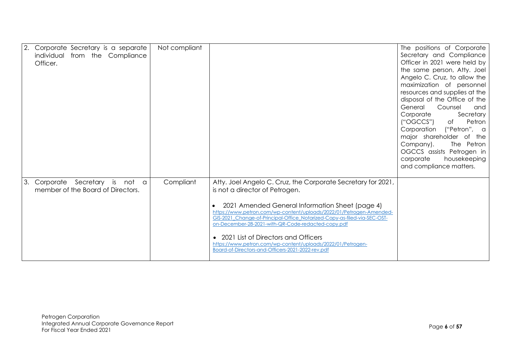| Corporate Secretary is a separate<br>individual from the Compliance<br>Officer. | Not compliant |                                                                                                                                                                                                                                                                                                                                                                                                                                                                                                                         | The positions of Corporate<br>Secretary and Compliance<br>Officer in 2021 were held by<br>the same person, Atty. Joel<br>Angelo C. Cruz, to allow the<br>maximization of personnel<br>resources and supplies at the<br>disposal of the Office of the<br>Counsel<br>General<br>and<br>Corporate<br>Secretary<br>("OGCCS")<br>Petron<br>of<br>Corporation ("Petron", a<br>major shareholder of the<br>Company).<br>The Petron<br>OGCCS assists Petrogen in<br>housekeeping<br>corporate<br>and compliance matters. |
|---------------------------------------------------------------------------------|---------------|-------------------------------------------------------------------------------------------------------------------------------------------------------------------------------------------------------------------------------------------------------------------------------------------------------------------------------------------------------------------------------------------------------------------------------------------------------------------------------------------------------------------------|------------------------------------------------------------------------------------------------------------------------------------------------------------------------------------------------------------------------------------------------------------------------------------------------------------------------------------------------------------------------------------------------------------------------------------------------------------------------------------------------------------------|
| Corporate Secretary is not a<br>member of the Board of Directors.               | Compliant     | Atty. Joel Angelo C. Cruz, the Corporate Secretary for 2021,<br>is not a director of Petrogen.<br>2021 Amended General Information Sheet (page 4)<br>https://www.petron.com/wp-content/uploads/2022/01/Petrogen-Amended-<br>GIS-2021 Change-of-Principal-Office Notarized-Copy-as-filed-via-SEC-OST-<br>on-December-28-2021-with-QR-Code-redacted-copy.pdf<br>• 2021 List of Directors and Officers<br>https://www.petron.com/wp-content/uploads/2022/01/Petrogen-<br>Board-of-Directors-and-Officers-2021-2022-rev.pdf |                                                                                                                                                                                                                                                                                                                                                                                                                                                                                                                  |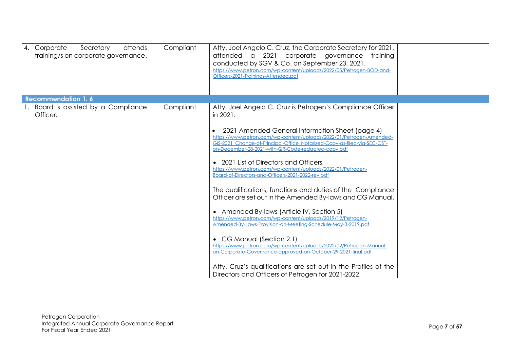| 4. Corporate<br>Secretary<br>attends<br>training/s on corporate governance. | Compliant | Atty. Joel Angelo C. Cruz, the Corporate Secretary for 2021,<br>attended a 2021 corporate governance<br>training<br>conducted by SGV & Co. on September 23, 2021.<br>https://www.petron.com/wp-content/uploads/2022/05/Petrogen-BOD-and-<br>Officers-2021-Traininas-Attended.pdf                                                                                                                                                                                                                                                                                                                                                                                                                                                                                                                                                                                                                                                                                                                                                                                                                 |  |
|-----------------------------------------------------------------------------|-----------|--------------------------------------------------------------------------------------------------------------------------------------------------------------------------------------------------------------------------------------------------------------------------------------------------------------------------------------------------------------------------------------------------------------------------------------------------------------------------------------------------------------------------------------------------------------------------------------------------------------------------------------------------------------------------------------------------------------------------------------------------------------------------------------------------------------------------------------------------------------------------------------------------------------------------------------------------------------------------------------------------------------------------------------------------------------------------------------------------|--|
| <b>Recommendation 1.6</b>                                                   |           |                                                                                                                                                                                                                                                                                                                                                                                                                                                                                                                                                                                                                                                                                                                                                                                                                                                                                                                                                                                                                                                                                                  |  |
| Board is assisted by a Compliance<br>Officer.                               | Compliant | Atty. Joel Angelo C. Cruz is Petrogen's Compliance Officer<br>in 2021.<br>2021 Amended General Information Sheet (page 4)<br>https://www.petron.com/wp-content/uploads/2022/01/Petrogen-Amended-<br>GIS-2021_Change-of-Principal-Office_Notarized-Copy-as-filed-via-SEC-OST-<br>on-December-28-2021-with-QR-Code-redacted-copy.pdf<br>• 2021 List of Directors and Officers<br>https://www.petron.com/wp-content/uploads/2022/01/Petrogen-<br>Board-of-Directors-and-Officers-2021-2022-rev.pdf<br>The qualifications, functions and duties of the Compliance<br>Officer are set out in the Amended By-laws and CG Manual.<br>• Amended By-laws (Article IV, Section 5)<br>https://www.petron.com/wp-content/uploads/2019/12/Petrogen-<br>Amended-By-Laws-Provision-on-Meeting-Schedule-May-3-2019.pdf<br>• CG Manual (Section 2.1)<br>https://www.petron.com/wp-content/uploads/2022/02/Petrogen-Manual-<br>on-Corporate-Governance-approved-on-October-29-2021-final.pdf<br>Atty. Cruz's qualifications are set out in the Profiles of the<br>Directors and Officers of Petrogen for 2021-2022 |  |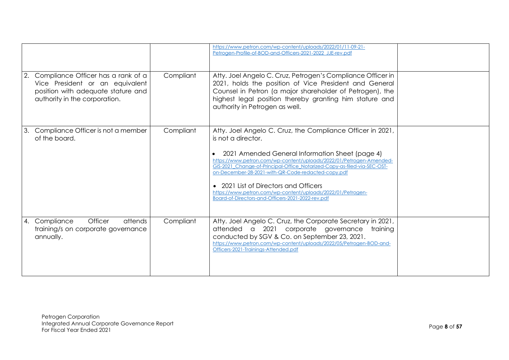|    |                                                                                                                                              |           | https://www.petron.com/wp-content/uploads/2022/01/11-09-21-<br>Petrogen-Profile-of-BOD-and-Officers-2021-2022 JJE-rev.pdf                                                                                                                                                                                                                                                                                                                                                                                 |  |
|----|----------------------------------------------------------------------------------------------------------------------------------------------|-----------|-----------------------------------------------------------------------------------------------------------------------------------------------------------------------------------------------------------------------------------------------------------------------------------------------------------------------------------------------------------------------------------------------------------------------------------------------------------------------------------------------------------|--|
| 2. | Compliance Officer has a rank of a<br>Vice President or an equivalent<br>position with adequate stature and<br>authority in the corporation. | Compliant | Atty. Joel Angelo C. Cruz, Petrogen's Compliance Officer in<br>2021, holds the position of Vice President and General<br>Counsel in Petron (a major shareholder of Petrogen), the<br>highest legal position thereby granting him stature and<br>authority in Petrogen as well.                                                                                                                                                                                                                            |  |
| 3. | Compliance Officer is not a member<br>of the board.                                                                                          | Compliant | Atty. Joel Angelo C. Cruz, the Compliance Officer in 2021,<br>is not a director.<br>2021 Amended General Information Sheet (page 4)<br>https://www.petron.com/wp-content/uplogds/2022/01/Petrogen-Amended-<br>GIS-2021_Change-of-Principal-Office_Notarized-Copy-as-filed-via-SEC-OST-<br>on-December-28-2021-with-QR-Code-redacted-copy.pdf<br>• 2021 List of Directors and Officers<br>https://www.petron.com/wp-content/uploads/2022/01/Petrogen-<br>Board-of-Directors-and-Officers-2021-2022-rev.pdf |  |
|    | Officer<br>4. Compliance<br>attends<br>training/s on corporate governance<br>annually.                                                       | Compliant | Atty. Joel Angelo C. Cruz, the Corporate Secretary in 2021,<br>attended a 2021<br>corporate governance<br>training<br>conducted by SGV & Co. on September 23, 2021.<br>https://www.petron.com/wp-content/uploads/2022/05/Petrogen-BOD-and-<br>Officers-2021-Traininas-Attended.pdf                                                                                                                                                                                                                        |  |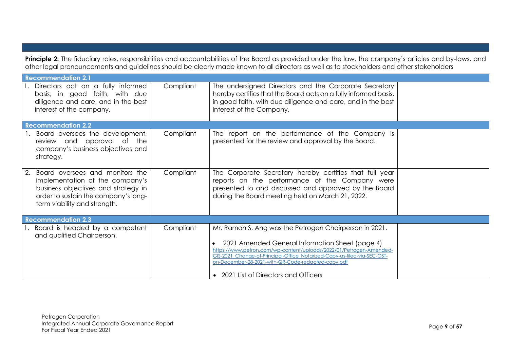| Principle 2: The fiduciary roles, responsibilities and accountabilities of the Board as provided under the law, the company's articles and by-laws, and<br>other legal pronouncements and guidelines should be clearly made known to all directors as well as to stockholders and other stakeholders |           |                                                                                                                                                                                                                                                                                                                                                             |  |  |
|------------------------------------------------------------------------------------------------------------------------------------------------------------------------------------------------------------------------------------------------------------------------------------------------------|-----------|-------------------------------------------------------------------------------------------------------------------------------------------------------------------------------------------------------------------------------------------------------------------------------------------------------------------------------------------------------------|--|--|
| <b>Recommendation 2.1</b>                                                                                                                                                                                                                                                                            |           |                                                                                                                                                                                                                                                                                                                                                             |  |  |
| 1. Directors act on a fully informed<br>basis, in good faith, with due<br>diligence and care, and in the best<br>interest of the company.                                                                                                                                                            | Compliant | The undersigned Directors and the Corporate Secretary<br>hereby certifies that the Board acts on a fully informed basis,<br>in good faith, with due diligence and care, and in the best<br>interest of the Company.                                                                                                                                         |  |  |
| <b>Recommendation 2.2</b>                                                                                                                                                                                                                                                                            |           |                                                                                                                                                                                                                                                                                                                                                             |  |  |
| 1. Board oversees the development,<br>review and approval of the<br>company's business objectives and<br>strategy.                                                                                                                                                                                   | Compliant | The report on the performance of the Company is<br>presented for the review and approval by the Board.                                                                                                                                                                                                                                                      |  |  |
| 2. Board oversees and monitors the<br>implementation of the company's<br>business objectives and strategy in<br>order to sustain the company's long-<br>term viability and strength.                                                                                                                 | Compliant | The Corporate Secretary hereby certifies that full year<br>reports on the performance of the Company were<br>presented to and discussed and approved by the Board<br>during the Board meeting held on March 21, 2022.                                                                                                                                       |  |  |
| <b>Recommendation 2.3</b>                                                                                                                                                                                                                                                                            |           |                                                                                                                                                                                                                                                                                                                                                             |  |  |
| Board is headed by a competent<br>and qualified Chairperson.                                                                                                                                                                                                                                         | Compliant | Mr. Ramon S. Ang was the Petrogen Chairperson in 2021.<br>2021 Amended General Information Sheet (page 4)<br>https://www.petron.com/wp-content/uploads/2022/01/Petrogen-Amended-<br>GIS-2021_Change-of-Principal-Office_Notarized-Copy-as-filed-via-SEC-OST-<br>on-December-28-2021-with-QR-Code-redacted-copy.pdf<br>• 2021 List of Directors and Officers |  |  |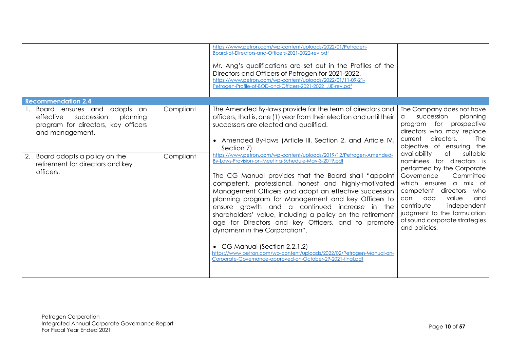|                                                                                                                                 |           | https://www.petron.com/wp-content/uploads/2022/01/Petrogen-<br>Board-of-Directors-and-Officers-2021-2022-rev.pdf<br>Mr. Ang's qualifications are set out in the Profiles of the<br>Directors and Officers of Petrogen for 2021-2022.<br>https://www.petron.com/wp-content/uploads/2022/01/11-09-21-<br>Petrogen-Profile-of-BOD-and-Officers-2021-2022_JJE-rev.pdf                                                                                                                                                                                                                                                                                                                                                                        |                                                                                                                                                                                                                                                                                                                          |
|---------------------------------------------------------------------------------------------------------------------------------|-----------|------------------------------------------------------------------------------------------------------------------------------------------------------------------------------------------------------------------------------------------------------------------------------------------------------------------------------------------------------------------------------------------------------------------------------------------------------------------------------------------------------------------------------------------------------------------------------------------------------------------------------------------------------------------------------------------------------------------------------------------|--------------------------------------------------------------------------------------------------------------------------------------------------------------------------------------------------------------------------------------------------------------------------------------------------------------------------|
| <b>Recommendation 2.4</b>                                                                                                       |           |                                                                                                                                                                                                                                                                                                                                                                                                                                                                                                                                                                                                                                                                                                                                          |                                                                                                                                                                                                                                                                                                                          |
| adopts an<br>Board ensures and<br>effective<br>succession<br>planning<br>program for directors, key officers<br>and management. | Compliant | The Amended By-laws provide for the term of directors and<br>officers, that is, one (1) year from their election and until their<br>successors are elected and qualified.<br>• Amended By-laws (Article III, Section 2, and Article IV,<br>Section 7)                                                                                                                                                                                                                                                                                                                                                                                                                                                                                    | The Company does not have<br>succession<br>planning<br>a<br>program for<br>prospective<br>directors who may replace<br>directors.<br>current<br><b>The</b><br>objective of ensuring the                                                                                                                                  |
| 2. Board adopts a policy on the<br>retirement for directors and key<br>officers.                                                | Compliant | https://www.petron.com/wp-content/uploads/2019/12/Petrogen-Amended-<br>By-Laws-Provision-on-Meeting-Schedule-May-3-2019.pdf<br>The CG Manual provides that the Board shall "appoint<br>competent, professional, honest and highly-motivated<br>Management Officers and adopt an effective succession<br>planning program for Management and key Officers to<br>ensure growth and a continued increase in the<br>shareholders' value, including a policy on the retirement<br>age for Directors and key Officers, and to promote<br>dynamism in the Corporation".<br>• CG Manual (Section 2.2.1.2)<br>https://www.petron.com/wp-content/uploads/2022/02/Petrogen-Manual-on-<br>Corporate-Governance-approved-on-October-29-2021-final.pdf | availability<br>suitable<br>Оf<br>nominees for directors is<br>performed by the Corporate<br>Governance<br>Committee<br>which ensures a mix of<br>competent<br>directors who<br>value<br>add<br>can<br>and<br>contribute<br>independent<br>judgment to the formulation<br>of sound corporate strategies<br>and policies. |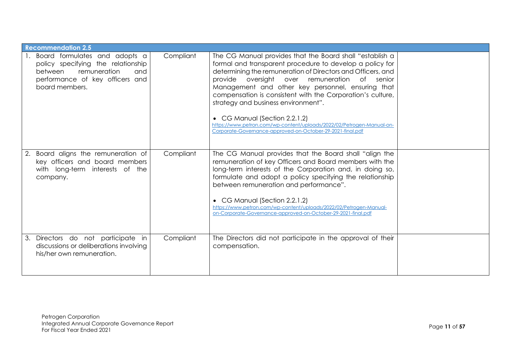| <b>Recommendation 2.5</b>                                                                                                                                  |           |                                                                                                                                                                                                                                                                                                                                                                                                                                                                                                                                                                        |  |
|------------------------------------------------------------------------------------------------------------------------------------------------------------|-----------|------------------------------------------------------------------------------------------------------------------------------------------------------------------------------------------------------------------------------------------------------------------------------------------------------------------------------------------------------------------------------------------------------------------------------------------------------------------------------------------------------------------------------------------------------------------------|--|
| Board formulates and adopts a<br>policy specifying the relationship<br>remuneration<br>between<br>and<br>performance of key officers and<br>board members. | Compliant | The CG Manual provides that the Board shall "establish a<br>formal and transparent procedure to develop a policy for<br>determining the remuneration of Directors and Officers, and<br>provide oversight over remuneration of senior<br>Management and other key personnel, ensuring that<br>compensation is consistent with the Corporation's culture,<br>strategy and business environment".<br>• CG Manual (Section 2.2.1.2)<br>https://www.petron.com/wp-content/uploads/2022/02/Petrogen-Manual-on-<br>Corporate-Governance-approved-on-October-29-2021-final.pdf |  |
| Board aligns the remuneration of<br>2.<br>key officers and board members<br>with long-term interests of the<br>company.                                    | Compliant | The CG Manual provides that the Board shall "align the<br>remuneration of key Officers and Board members with the<br>long-term interests of the Corporation and, in doing so,<br>formulate and adopt a policy specifying the relationship<br>between remuneration and performance".<br>• CG Manual (Section 2.2.1.2)<br>https://www.petron.com/wp-content/uploads/2022/02/Petrogen-Manual-<br>on-Corporate-Governance-approved-on-October-29-2021-final.pdf                                                                                                            |  |
| 3. Directors do not participate in<br>discussions or deliberations involving<br>his/her own remuneration.                                                  | Compliant | The Directors did not participate in the approval of their<br>compensation.                                                                                                                                                                                                                                                                                                                                                                                                                                                                                            |  |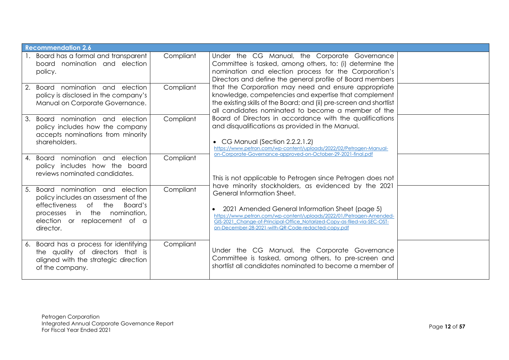| <b>Recommendation 2.6</b>                                                                                                                                                                           |                        |                                                                                                                                                                                                                                                                                                                                                                                                                                                                               |  |
|-----------------------------------------------------------------------------------------------------------------------------------------------------------------------------------------------------|------------------------|-------------------------------------------------------------------------------------------------------------------------------------------------------------------------------------------------------------------------------------------------------------------------------------------------------------------------------------------------------------------------------------------------------------------------------------------------------------------------------|--|
| 1. Board has a formal and transparent<br>board nomination and election<br>policy.<br>Board nomination and election<br>2.<br>policy is disclosed in the company's<br>Manual on Corporate Governance. | Compliant<br>Compliant | Under the CG Manual, the Corporate Governance<br>Committee is tasked, among others, to: (i) determine the<br>nomination and election process for the Corporation's<br>Directors and define the general profile of Board members<br>that the Corporation may need and ensure appropriate<br>knowledge, competencies and expertise that complement<br>the existing skills of the Board; and (ii) pre-screen and shortlist<br>all candidates nominated to become a member of the |  |
| Board nomination and election<br>3.<br>policy includes how the company<br>accepts nominations from minority<br>shareholders.                                                                        | Compliant              | Board of Directors in accordance with the qualifications<br>and disqualifications as provided in the Manual.<br>• CG Manual (Section 2.2.2.1.2)<br>https://www.petron.com/wp-content/uploads/2022/02/Petrogen-Manual-<br>on-Corporate-Governance-approved-on-October-29-2021-final.pdf                                                                                                                                                                                        |  |
| 4. Board nomination and election<br>policy includes how the board<br>reviews nominated candidates.                                                                                                  | Compliant              | This is not applicable to Petrogen since Petrogen does not                                                                                                                                                                                                                                                                                                                                                                                                                    |  |
| Board nomination and election<br>5.<br>policy includes an assessment of the<br>effectiveness of the<br>Board's<br>processes in the nomination,<br>election or replacement of a<br>director.         | Compliant              | have minority stockholders, as evidenced by the 2021<br>General Information Sheet.<br>2021 Amended General Information Sheet (page 5)<br>https://www.petron.com/wp-content/uploads/2022/01/Petrogen-Amended-<br>GIS-2021_Change-of-Principal-Office_Notarized-Copy-as-filed-via-SEC-OST-<br>on-December-28-2021-with-QR-Code-redacted-copy.pdf                                                                                                                                |  |
| 6. Board has a process for identifying<br>the quality of directors that is<br>aligned with the strategic direction<br>of the company.                                                               | Compliant              | Under the CG Manual, the Corporate Governance<br>Committee is tasked, among others, to pre-screen and<br>shortlist all candidates nominated to become a member of                                                                                                                                                                                                                                                                                                             |  |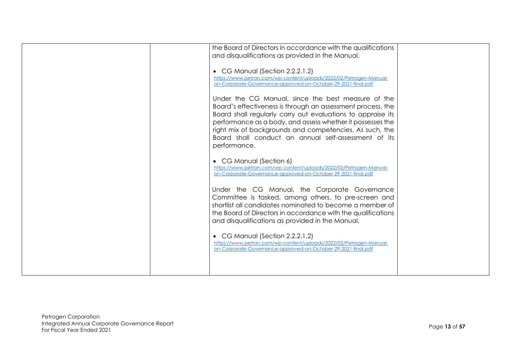| the Board of Directors in accordance with the qualifications<br>and disqualifications as provided in the Manual.                                                                                                                                                                                                                                                  |  |
|-------------------------------------------------------------------------------------------------------------------------------------------------------------------------------------------------------------------------------------------------------------------------------------------------------------------------------------------------------------------|--|
| • CG Manual (Section 2.2.2.1.2)<br>https://www.petron.com/wp-content/uploads/2022/02/Petrogen-Manual-<br>on-Corporate-Governance-approved-on-October-29-2021-final.pdf                                                                                                                                                                                            |  |
| Under the CG Manual, since the best measure of the<br>Board's effectiveness is through an assessment process, the<br>Board shall regularly carry out evaluations to appraise its<br>performance as a body, and assess whether it possesses the<br>right mix of backgrounds and competencies. As such, the<br>Board shall conduct an annual self-assessment of its |  |
| performance.<br>• CG Manual (Section 6)<br>https://www.petron.com/wp-content/uploads/2022/02/Petrogen-Manual-                                                                                                                                                                                                                                                     |  |
| on-Corporate-Governance-approved-on-October-29-2021-final.pdf<br>Under the CG Manual, the Corporate Governance<br>Committee is tasked, among others, to pre-screen and<br>shortlist all candidates nominated to become a member of<br>the Board of Directors in accordance with the qualifications                                                                |  |
| and disqualifications as provided in the Manual.<br>• CG Manual (Section 2.2.2.1.2)<br>https://www.petron.com/wp-content/uploads/2022/02/Petrogen-Manual-<br>on-Corporate-Governance-approved-on-October-29-2021-final.pdf                                                                                                                                        |  |
|                                                                                                                                                                                                                                                                                                                                                                   |  |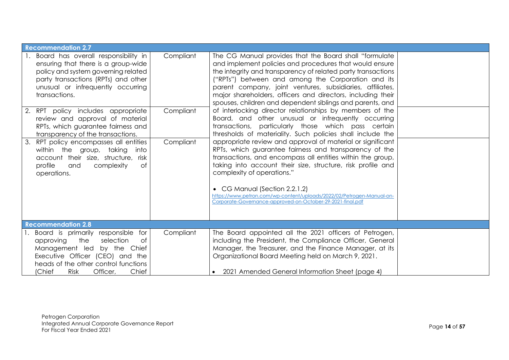| <b>Recommendation 2.7</b>                                                                                                                                                                                                               |           |                                                                                                                                                                                                                                                                                                                                                                                                                                                         |  |
|-----------------------------------------------------------------------------------------------------------------------------------------------------------------------------------------------------------------------------------------|-----------|---------------------------------------------------------------------------------------------------------------------------------------------------------------------------------------------------------------------------------------------------------------------------------------------------------------------------------------------------------------------------------------------------------------------------------------------------------|--|
| 1. Board has overall responsibility in<br>ensuring that there is a group-wide<br>policy and system governing related<br>party transactions (RPTs) and other<br>unusual or infrequently occurring<br>transactions.                       | Compliant | The CG Manual provides that the Board shall "formulate"<br>and implement policies and procedures that would ensure<br>the integrity and transparency of related party transactions<br>("RPTs") between and among the Corporation and its<br>parent company, joint ventures, subsidiaries, affiliates,<br>major shareholders, officers and directors, including their<br>spouses, children and dependent siblings and parents, and                       |  |
| 2. RPT policy includes appropriate<br>review and approval of material<br>RPTs, which guarantee fairness and<br>transparency of the transactions.                                                                                        | Compliant | of interlocking director relationships by members of the<br>Board, and other unusual or infrequently occurring<br>transactions, particularly those which pass certain<br>thresholds of materiality. Such policies shall include the                                                                                                                                                                                                                     |  |
| 3. RPT policy encompasses all entities<br>within the group, taking<br>into<br>account their size, structure,<br>risk<br>profile<br>complexity<br>0f<br>and<br>operations.                                                               | Compliant | appropriate review and approval of material or significant<br>RPTs, which guarantee fairness and transparency of the<br>transactions, and encompass all entities within the group,<br>taking into account their size, structure, risk profile and<br>complexity of operations."<br>• CG Manual (Section 2.2.1.2)<br>https://www.petron.com/wp-content/uploads/2022/02/Petrogen-Manual-on-<br>Corporate-Governance-approved-on-October-29-2021-final.pdf |  |
| <b>Recommendation 2.8</b>                                                                                                                                                                                                               |           |                                                                                                                                                                                                                                                                                                                                                                                                                                                         |  |
| 1. Board is primarily responsible<br>for<br>selection<br>the<br>0f<br>approving<br>Management led by the Chief<br>Executive Officer (CEO) and the<br>heads of the other control functions<br>(Chief<br>Chief<br>Officer,<br><b>Risk</b> | Compliant | The Board appointed all the 2021 officers of Petrogen,<br>including the President, the Compliance Officer, General<br>Manager, the Treasurer, and the Finance Manager, at its<br>Organizational Board Meeting held on March 9, 2021.<br>• 2021 Amended General Information Sheet (page 4)                                                                                                                                                               |  |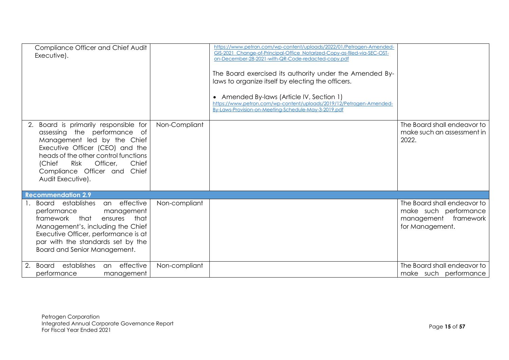|    | Compliance Officer and Chief Audit<br>Executive).                                                                                                                                                                                                                        |               | https://www.petron.com/wp-content/uploads/2022/01/Petrogen-Amended-<br>GIS-2021_Change-of-Principal-Office_Notarized-Copy-as-filed-via-SEC-OST-<br>on-December-28-2021-with-QR-Code-redacted-copy.pdf<br>The Board exercised its authority under the Amended By-<br>laws to organize itself by electing the officers.<br>• Amended By-laws (Article IV, Section 1)<br>https://www.petron.com/wp-content/uploads/2019/12/Petrogen-Amended-<br>By-Laws-Provision-on-Meeting-Schedule-May-3-2019.pdf |                                                                                                 |
|----|--------------------------------------------------------------------------------------------------------------------------------------------------------------------------------------------------------------------------------------------------------------------------|---------------|---------------------------------------------------------------------------------------------------------------------------------------------------------------------------------------------------------------------------------------------------------------------------------------------------------------------------------------------------------------------------------------------------------------------------------------------------------------------------------------------------|-------------------------------------------------------------------------------------------------|
| 2. | Board is primarily responsible for<br>assessing the performance of<br>Management led by the Chief<br>Executive Officer (CEO) and the<br>heads of the other control functions<br>Officer,<br>Risk<br>Chief<br>(Chief<br>Compliance Officer and Chief<br>Audit Executive). | Non-Compliant |                                                                                                                                                                                                                                                                                                                                                                                                                                                                                                   | The Board shall endeavor to<br>make such an assessment in<br>2022.                              |
|    | <b>Recommendation 2.9</b>                                                                                                                                                                                                                                                |               |                                                                                                                                                                                                                                                                                                                                                                                                                                                                                                   |                                                                                                 |
|    | Board establishes<br>an effective<br>performance<br>management<br>framework that<br>ensures<br>that<br>Management's, including the Chief<br>Executive Officer, performance is at<br>par with the standards set by the<br>Board and Senior Management.                    | Non-compliant |                                                                                                                                                                                                                                                                                                                                                                                                                                                                                                   | The Board shall endeavor to<br>make such performance<br>management framework<br>for Management. |
|    | effective<br>establishes<br>Board<br>an<br>performance<br>management                                                                                                                                                                                                     | Non-compliant |                                                                                                                                                                                                                                                                                                                                                                                                                                                                                                   | The Board shall endeavor to<br>make such performance                                            |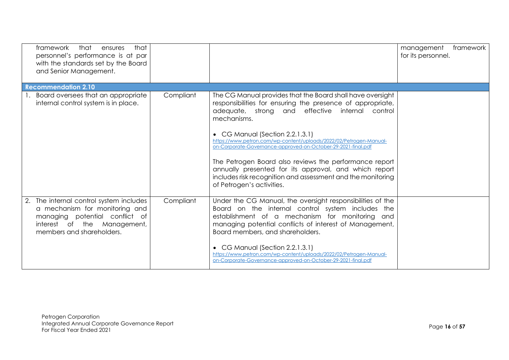| framework<br>that<br>that<br>ensures<br>personnel's performance is at par<br>with the standards set by the Board<br>and Senior Management. |           |                                                                                                                                                                                                                                                                                                                                                                                                                                                                                                                                                                                     | management<br>framework<br>for its personnel. |
|--------------------------------------------------------------------------------------------------------------------------------------------|-----------|-------------------------------------------------------------------------------------------------------------------------------------------------------------------------------------------------------------------------------------------------------------------------------------------------------------------------------------------------------------------------------------------------------------------------------------------------------------------------------------------------------------------------------------------------------------------------------------|-----------------------------------------------|
| <b>Recommendation 2.10</b>                                                                                                                 |           |                                                                                                                                                                                                                                                                                                                                                                                                                                                                                                                                                                                     |                                               |
| Board oversees that an appropriate<br>internal control system is in place.                                                                 | Compliant | The CG Manual provides that the Board shall have oversight<br>responsibilities for ensuring the presence of appropriate,<br>adequate, strong and effective internal control<br>mechanisms.<br>• CG Manual (Section 2.2.1.3.1)<br>https://www.petron.com/wp-content/uploads/2022/02/Petrogen-Manual-<br>on-Corporate-Governance-approved-on-October-29-2021-final.pdf<br>The Petrogen Board also reviews the performance report<br>annually presented for its approval, and which report<br>includes risk recognition and assessment and the monitoring<br>of Petrogen's activities. |                                               |
| 2. The internal control system includes<br>a mechanism for monitoring and<br>managing potential conflict of                                | Compliant | Under the CG Manual, the oversight responsibilities of the<br>Board on the internal control system includes the<br>establishment of a mechanism for monitoring and                                                                                                                                                                                                                                                                                                                                                                                                                  |                                               |
| interest of the Management,<br>members and shareholders.                                                                                   |           | managing potential conflicts of interest of Management,<br>Board members, and shareholders.                                                                                                                                                                                                                                                                                                                                                                                                                                                                                         |                                               |
|                                                                                                                                            |           | • CG Manual (Section 2.2.1.3.1)<br>https://www.petron.com/wp-content/uploads/2022/02/Petrogen-Manual-<br>on-Corporate-Governance-approved-on-October-29-2021-final.pdf                                                                                                                                                                                                                                                                                                                                                                                                              |                                               |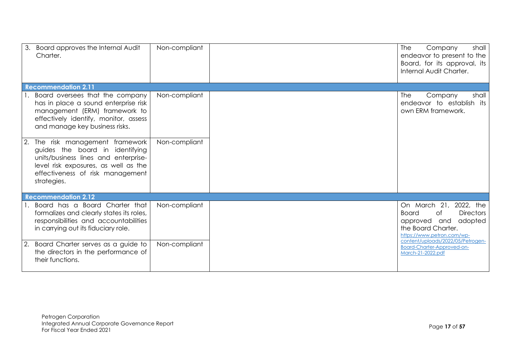| 3. Board approves the Internal Audit<br>Charter.                                                                                                                                                       | Non-compliant | <b>The</b><br>Company<br>shall<br>endeavor to present to the<br>Board, for its approval, its<br>Internal Audit Charter.                         |
|--------------------------------------------------------------------------------------------------------------------------------------------------------------------------------------------------------|---------------|-------------------------------------------------------------------------------------------------------------------------------------------------|
| <b>Recommendation 2.11</b>                                                                                                                                                                             |               |                                                                                                                                                 |
| 1. Board oversees that the company<br>has in place a sound enterprise risk<br>management (ERM) framework to<br>effectively identify, monitor, assess<br>and manage key business risks.                 | Non-compliant | shall<br>Company<br><b>The</b><br>endeavor to establish its<br>own ERM framework.                                                               |
| 2. The risk management framework<br>guides the board in identifying<br>units/business lines and enterprise-<br>level risk exposures, as well as the<br>effectiveness of risk management<br>strategies. | Non-compliant |                                                                                                                                                 |
| <b>Recommendation 2.12</b>                                                                                                                                                                             |               |                                                                                                                                                 |
| Board has a Board Charter that<br>formalizes and clearly states its roles,<br>responsibilities and accountabilities<br>in carrying out its fiduciary role.                                             | Non-compliant | On March 21, 2022, the<br>of<br><b>Directors</b><br><b>Board</b><br>approved and<br>adopted<br>the Board Charter.<br>https://www.petron.com/wp- |
| Board Charter serves as a guide to<br>the directors in the performance of<br>their functions.                                                                                                          | Non-compliant | content/uploads/2022/05/Petrogen-<br>Board-Charter-Approved-on-<br>March-21-2022.pdf                                                            |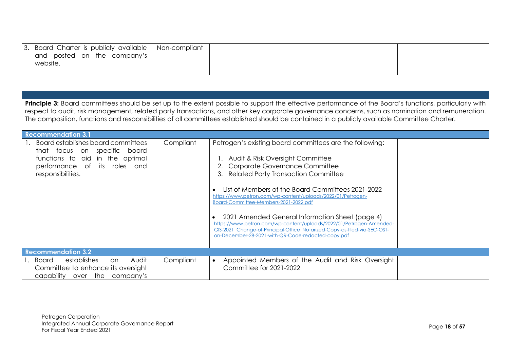| 3. Board Charter is publicly available   Non-compliant |  |  |
|--------------------------------------------------------|--|--|
| and posted on the company's                            |  |  |
| website.                                               |  |  |
|                                                        |  |  |

| <b>Principle 3:</b> Board committees should be set up to the extent possible to support the effective performance of the Board's functions, particularly with<br>respect to audit, risk management, related party transactions, and other key corporate governance concerns, such as nomination and remuneration.<br>The composition, functions and responsibilities of all committees established should be contained in a publicly available Committee Charter. |           |                                                                                                                                                                                                                                                                                                                                                                                                                                                                                                                                                                                                            |  |  |  |  |
|-------------------------------------------------------------------------------------------------------------------------------------------------------------------------------------------------------------------------------------------------------------------------------------------------------------------------------------------------------------------------------------------------------------------------------------------------------------------|-----------|------------------------------------------------------------------------------------------------------------------------------------------------------------------------------------------------------------------------------------------------------------------------------------------------------------------------------------------------------------------------------------------------------------------------------------------------------------------------------------------------------------------------------------------------------------------------------------------------------------|--|--|--|--|
| <b>Recommendation 3.1</b>                                                                                                                                                                                                                                                                                                                                                                                                                                         |           |                                                                                                                                                                                                                                                                                                                                                                                                                                                                                                                                                                                                            |  |  |  |  |
| Board establishes board committees<br>that focus on specific<br>board<br>functions to aid in the optimal<br>performance of its roles and<br>responsibilities.                                                                                                                                                                                                                                                                                                     | Compliant | Petrogen's existing board committees are the following:<br>1. Audit & Risk Oversight Committee<br><b>Corporate Governance Committee</b><br>3. Related Party Transaction Committee<br>List of Members of the Board Committees 2021-2022<br>https://www.petron.com/wp-content/uploads/2022/01/Petrogen-<br>Board-Committee-Members-2021-2022.pdf<br>2021 Amended General Information Sheet (page 4)<br>https://www.petron.com/wp-content/uploads/2022/01/Petrogen-Amended-<br>GIS-2021 Change-of-Principal-Office Notarized-Copy-as-filed-via-SEC-OST-<br>on-December-28-2021-with-QR-Code-redacted-copy.pdf |  |  |  |  |
| <b>Recommendation 3.2</b>                                                                                                                                                                                                                                                                                                                                                                                                                                         |           |                                                                                                                                                                                                                                                                                                                                                                                                                                                                                                                                                                                                            |  |  |  |  |
| Audit<br>Board<br>establishes<br>an<br>Committee to enhance its oversight<br>capability<br>over the<br>company's                                                                                                                                                                                                                                                                                                                                                  | Compliant | Appointed Members of the Audit and Risk Oversight<br>$\bullet$<br>Committee for 2021-2022                                                                                                                                                                                                                                                                                                                                                                                                                                                                                                                  |  |  |  |  |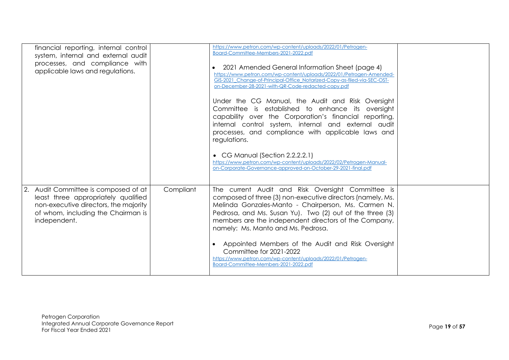| financial reporting, internal control<br>system, internal and external audit<br>processes, and compliance with<br>applicable laws and regulations.                         |           | https://www.petron.com/wp-content/uploads/2022/01/Petrogen-<br>Board-Committee-Members-2021-2022.pdf<br>2021 Amended General Information Sheet (page 4)<br>https://www.petron.com/wp-content/uploads/2022/01/Petrogen-Amended-<br>GIS-2021_Change-of-Principal-Office_Notarized-Copy-as-filed-via-SEC-OST-<br>on-December-28-2021-with-QR-Code-redacted-copy.pdf<br>Under the CG Manual, the Audit and Risk Oversight<br>Committee is established to enhance its oversight<br>capability over the Corporation's financial reporting,<br>internal control system, internal and external audit<br>processes, and compliance with applicable laws and<br>regulations.<br>• CG Manual (Section 2.2.2.2.1)<br>https://www.petron.com/wp-content/uploads/2022/02/Petrogen-Manual-<br>on-Corporate-Governance-approved-on-October-29-2021-final.pdf |  |
|----------------------------------------------------------------------------------------------------------------------------------------------------------------------------|-----------|----------------------------------------------------------------------------------------------------------------------------------------------------------------------------------------------------------------------------------------------------------------------------------------------------------------------------------------------------------------------------------------------------------------------------------------------------------------------------------------------------------------------------------------------------------------------------------------------------------------------------------------------------------------------------------------------------------------------------------------------------------------------------------------------------------------------------------------------|--|
| 2. Audit Committee is composed of at<br>least three appropriately qualified<br>non-executive directors, the majority<br>of whom, including the Chairman is<br>independent. | Compliant | The current Audit and Risk Oversight Committee is<br>composed of three (3) non-executive directors (namely, Ms.<br>Melinda Gonzales-Manto - Chairperson, Ms. Carmen N.<br>Pedrosa, and Ms. Susan Yu). Two (2) out of the three (3)<br>members are the independent directors of the Company,<br>namely: Ms. Manto and Ms. Pedrosa.<br>Appointed Members of the Audit and Risk Oversight<br>Committee for 2021-2022<br>https://www.petron.com/wp-content/uploads/2022/01/Petrogen-<br>Board-Committee-Members-2021-2022.pdf                                                                                                                                                                                                                                                                                                                    |  |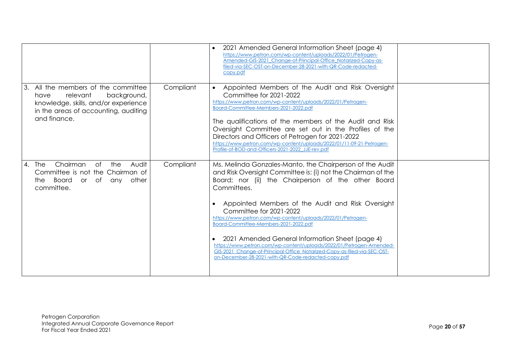|                                                                                                                                                                     |           | 2021 Amended General Information Sheet (page 4)<br>https://www.petron.com/wp-content/uploads/2022/01/Petrogen-<br>Amended-GIS-2021_Change-of-Principal-Office_Notarized-Copy-as-<br>filed-via-SEC-OST-on-December-28-2021-with-QR-Code-redacted-<br>copy.pdf                                                                                                                                                                                                                                                                                                                                                                                      |  |
|---------------------------------------------------------------------------------------------------------------------------------------------------------------------|-----------|---------------------------------------------------------------------------------------------------------------------------------------------------------------------------------------------------------------------------------------------------------------------------------------------------------------------------------------------------------------------------------------------------------------------------------------------------------------------------------------------------------------------------------------------------------------------------------------------------------------------------------------------------|--|
| All the members of the committee<br>relevant<br>background,<br>have<br>knowledge, skills, and/or experience<br>in the areas of accounting, auditing<br>and finance. | Compliant | Appointed Members of the Audit and Risk Oversight<br>$\bullet$<br>Committee for 2021-2022<br>https://www.petron.com/wp-content/uploads/2022/01/Petrogen-<br>Board-Committee-Members-2021-2022.pdf<br>The qualifications of the members of the Audit and Risk<br>Oversight Committee are set out in the Profiles of the<br>Directors and Officers of Petrogen for 2021-2022<br>https://www.petron.com/wp-content/uploads/2022/01/11-09-21-Petrogen-<br>Profile-of-BOD-and-Officers-2021-2022 JJE-rev.pdf                                                                                                                                           |  |
| Chairman<br>of the<br>Audit<br>4. The<br>Committee is not the Chairman of<br>Board or of<br>any other<br>the<br>committee.                                          | Compliant | Ms. Melinda Gonzales-Manto, the Chairperson of the Audit<br>and Risk Oversight Committee is: (i) not the Chairman of the<br>Board; nor (ii) the Chairperson of the other Board<br>Committees.<br>Appointed Members of the Audit and Risk Oversight<br>Committee for 2021-2022<br>https://www.petron.com/wp-content/uploads/2022/01/Petrogen-<br>Board-Committee-Members-2021-2022.pdf<br>2021 Amended General Information Sheet (page 4)<br>https://www.petron.com/wp-content/uploads/2022/01/Petrogen-Amended-<br>GIS-2021 Change-of-Principal-Office Notarized-Copy-as-filed-via-SEC-OST-<br>on-December-28-2021-with-QR-Code-redacted-copy.pdf |  |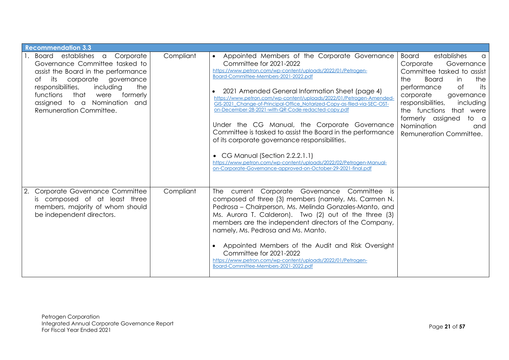| <b>Recommendation 3.3</b>                                                                                                                                                                                                                                                                      |           |                                                                                                                                                                                                                                                                                                                                                                                                                                                                                                                                                                                                                                                                                                                                                                                                     |                                                                                                                                                                                                                                                                                                                         |
|------------------------------------------------------------------------------------------------------------------------------------------------------------------------------------------------------------------------------------------------------------------------------------------------|-----------|-----------------------------------------------------------------------------------------------------------------------------------------------------------------------------------------------------------------------------------------------------------------------------------------------------------------------------------------------------------------------------------------------------------------------------------------------------------------------------------------------------------------------------------------------------------------------------------------------------------------------------------------------------------------------------------------------------------------------------------------------------------------------------------------------------|-------------------------------------------------------------------------------------------------------------------------------------------------------------------------------------------------------------------------------------------------------------------------------------------------------------------------|
| 1. Board establishes a Corporate<br>Governance Committee tasked to<br>assist the Board in the performance<br>corporate governance<br>its<br>of<br>responsibilities,<br>including<br>the<br>functions<br>that<br>formerly<br>were<br>assigned to a Nomination<br>and<br>Remuneration Committee. | Compliant | Appointed Members of the Corporate Governance<br>$\bullet$<br>Committee for 2021-2022<br>https://www.petron.com/wp-content/uploads/2022/01/Petrogen-<br>Board-Committee-Members-2021-2022.pdf<br>2021 Amended General Information Sheet (page 4)<br>https://www.petron.com/wp-content/uploads/2022/01/Petrogen-Amended-<br>GIS-2021 Change-of-Principal-Office Notarized-Copy-as-filed-vig-SEC-OST-<br>on-December-28-2021-with-QR-Code-redacted-copy.pdf<br>Under the CG Manual, the Corporate Governance<br>Committee is tasked to assist the Board in the performance<br>of its corporate governance responsibilities.<br>• CG Manual (Section 2.2.2.1.1)<br>https://www.petron.com/wp-content/uploads/2022/02/Petrogen-Manual-<br>on-Corporate-Governance-approved-on-October-29-2021-final.pdf | Board<br>establishes<br>a<br>Governance<br>Corporate<br>Committee tasked to assist<br><b>Board</b><br>the<br>the<br>in<br>performance<br>0f<br>its<br>corporate<br>governance<br>responsibilities,<br>including<br>the functions that were<br>formerly assigned<br>to a<br>Nomination<br>and<br>Remuneration Committee. |
| Corporate Governance Committee<br>2.<br>is composed of at least three<br>members, majority of whom should<br>be independent directors.                                                                                                                                                         | Compliant | The current Corporate Governance Committee is<br>composed of three (3) members (namely, Ms. Carmen N.<br>Pedrosa - Chairperson, Ms. Melinda Gonzales-Manto, and<br>Ms. Aurora T. Calderon). Two (2) out of the three (3)<br>members are the independent directors of the Company,<br>namely, Ms. Pedrosa and Ms. Manto.<br>Appointed Members of the Audit and Risk Oversight<br>Committee for 2021-2022<br>https://www.petron.com/wp-content/uploads/2022/01/Petrogen-<br>Board-Committee-Members-2021-2022.pdf                                                                                                                                                                                                                                                                                     |                                                                                                                                                                                                                                                                                                                         |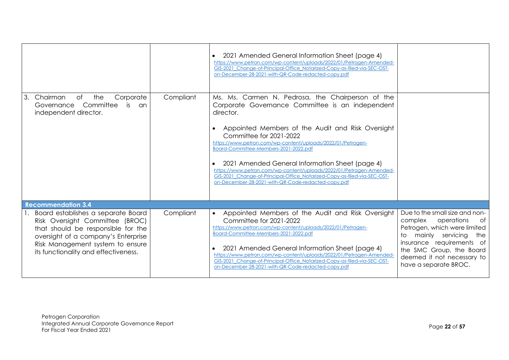|                                                                                                                                                                                                                                |           | 2021 Amended General Information Sheet (page 4)<br>https://www.petron.com/wp-content/uploads/2022/01/Petrogen-Amended-<br>GIS-2021 Change-of-Principal-Office Notarized-Copy-as-filed-via-SEC-OST-<br>on-December-28-2021-with-QR-Code-redacted-copy.pdf                                                                                                                                                                                                                                                                                                               |                                                                                                                                                                                                                                          |
|--------------------------------------------------------------------------------------------------------------------------------------------------------------------------------------------------------------------------------|-----------|------------------------------------------------------------------------------------------------------------------------------------------------------------------------------------------------------------------------------------------------------------------------------------------------------------------------------------------------------------------------------------------------------------------------------------------------------------------------------------------------------------------------------------------------------------------------|------------------------------------------------------------------------------------------------------------------------------------------------------------------------------------------------------------------------------------------|
| Chairman<br>Corporate<br>3.<br>of<br>the<br>Committee<br>is<br>Governance<br><b>an</b><br>independent director.                                                                                                                | Compliant | Ms. Ms. Carmen N. Pedrosa, the Chairperson of the<br>Corporate Governance Committee is an independent<br>director.<br>Appointed Members of the Audit and Risk Oversight<br>Committee for 2021-2022<br>https://www.petron.com/wp-content/uploads/2022/01/Petrogen-<br>Board-Committee-Members-2021-2022.pdf<br>2021 Amended General Information Sheet (page 4)<br>https://www.petron.com/wp-content/uploads/2022/01/Petrogen-Amended-<br>GIS-2021_Change-of-Principal-Office_Notarized-Copy-as-filed-via-SEC-OST-<br>on-December-28-2021-with-QR-Code-redacted-copy.pdf |                                                                                                                                                                                                                                          |
| <b>Recommendation 3.4</b>                                                                                                                                                                                                      |           |                                                                                                                                                                                                                                                                                                                                                                                                                                                                                                                                                                        |                                                                                                                                                                                                                                          |
| Board establishes a separate Board<br>Risk Oversight Committee (BROC)<br>that should be responsible for the<br>oversight of a company's Enterprise<br>Risk Management system to ensure<br>its functionality and effectiveness. | Compliant | Appointed Members of the Audit and Risk Oversight<br>$\bullet$<br>Committee for 2021-2022<br>https://www.petron.com/wp-content/uploads/2022/01/Petrogen-<br>Board-Committee-Members-2021-2022.pdf<br>2021 Amended General Information Sheet (page 4)<br>https://www.petron.com/wp-content/uploads/2022/01/Petrogen-Amended-<br>GIS-2021 Change-of-Principal-Office Notarized-Copy-as-filed-vig-SEC-OST-<br>on-December-28-2021-with-QR-Code-redacted-copy.pdf                                                                                                          | Due to the small size and non-<br>complex operations<br>of<br>Petrogen, which were limited<br>to mainly servicing<br>the<br>insurance requirements of<br>the SMC Group, the Board<br>deemed it not necessary to<br>have a separate BROC. |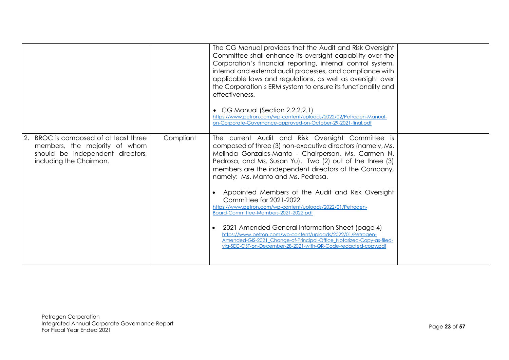|                                                                                                                                       |           | The CG Manual provides that the Audit and Risk Oversight<br>Committee shall enhance its oversight capability over the<br>Corporation's financial reporting, internal control system,<br>internal and external audit processes, and compliance with<br>applicable laws and regulations, as well as oversight over<br>the Corporation's ERM system to ensure its functionality and<br>effectiveness.<br>• CG Manual (Section 2.2.2.2.1)<br>https://www.petron.com/wp-content/uploads/2022/02/Petrogen-Manual-<br>on-Corporate-Governance-approved-on-October-29-2021-final.pdf                                                                                                                                                                                                          |  |
|---------------------------------------------------------------------------------------------------------------------------------------|-----------|---------------------------------------------------------------------------------------------------------------------------------------------------------------------------------------------------------------------------------------------------------------------------------------------------------------------------------------------------------------------------------------------------------------------------------------------------------------------------------------------------------------------------------------------------------------------------------------------------------------------------------------------------------------------------------------------------------------------------------------------------------------------------------------|--|
| 2. BROC is composed of at least three<br>members, the majority of whom<br>should be independent directors,<br>including the Chairman. | Compliant | The current Audit and Risk Oversight Committee is<br>composed of three (3) non-executive directors (namely, Ms.<br>Melinda Gonzales-Manto - Chairperson, Ms. Carmen N.<br>Pedrosa, and Ms. Susan Yu). Two (2) out of the three (3)<br>members are the independent directors of the Company,<br>namely: Ms. Manto and Ms. Pedrosa.<br>Appointed Members of the Audit and Risk Oversight<br>Committee for 2021-2022<br>https://www.petron.com/wp-content/uploads/2022/01/Petrogen-<br>Board-Committee-Members-2021-2022.pdf<br>2021 Amended General Information Sheet (page 4)<br>https://www.petron.com/wp-content/uploads/2022/01/Petrogen-<br>Amended-GIS-2021_Change-of-Principal-Office_Notarized-Copy-as-filed-<br>via-SEC-OST-on-December-28-2021-with-QR-Code-redacted-copy.pdf |  |
|                                                                                                                                       |           |                                                                                                                                                                                                                                                                                                                                                                                                                                                                                                                                                                                                                                                                                                                                                                                       |  |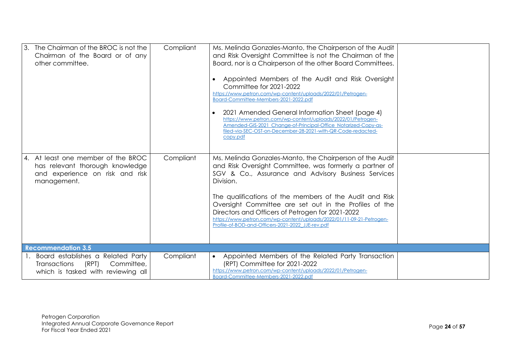| 3. The Chairman of the BROC is not the<br>Chairman of the Board or of any<br>other committee.                            | Compliant | Ms. Melinda Gonzales-Manto, the Chairperson of the Audit<br>and Risk Oversight Committee is not the Chairman of the<br>Board, nor is a Chairperson of the other Board Committees.<br>Appointed Members of the Audit and Risk Oversight<br>Committee for 2021-2022<br>https://www.petron.com/wp-content/uploads/2022/01/Petrogen-<br>Board-Committee-Members-2021-2022.pdf<br>2021 Amended General Information Sheet (page 4)<br>https://www.petron.com/wp-content/uploads/2022/01/Petrogen-<br>Amended-GIS-2021_Change-of-Principal-Office_Notarized-Copy-as-<br>filed-via-SEC-OST-on-December-28-2021-with-QR-Code-redacted-<br>copy.pdf |  |
|--------------------------------------------------------------------------------------------------------------------------|-----------|-------------------------------------------------------------------------------------------------------------------------------------------------------------------------------------------------------------------------------------------------------------------------------------------------------------------------------------------------------------------------------------------------------------------------------------------------------------------------------------------------------------------------------------------------------------------------------------------------------------------------------------------|--|
| 4. At least one member of the BROC<br>has relevant thorough knowledge<br>and experience on risk and risk<br>management.  | Compliant | Ms. Melinda Gonzales-Manto, the Chairperson of the Audit<br>and Risk Oversight Committee, was formerly a partner of<br>SGV & Co., Assurance and Advisory Business Services<br>Division.<br>The qualifications of the members of the Audit and Risk<br>Oversight Committee are set out in the Profiles of the<br>Directors and Officers of Petrogen for 2021-2022<br>https://www.petron.com/wp-content/uploads/2022/01/11-09-21-Petrogen-<br>Profile-of-BOD-and-Officers-2021-2022_JJE-rev.pdf                                                                                                                                             |  |
| <b>Recommendation 3.5</b>                                                                                                |           |                                                                                                                                                                                                                                                                                                                                                                                                                                                                                                                                                                                                                                           |  |
| 1. Board establishes a Related Party<br><b>Transactions</b><br>(RPT)<br>Committee,<br>which is tasked with reviewing all | Compliant | • Appointed Members of the Related Party Transaction<br>(RPT) Committee for 2021-2022<br>https://www.petron.com/wp-content/uploads/2022/01/Petrogen-<br>Board-Committee-Members-2021-2022.pdf                                                                                                                                                                                                                                                                                                                                                                                                                                             |  |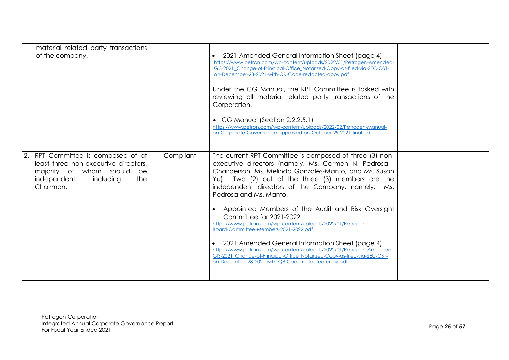| material related party transactions<br>of the company.                                                                                                    |           | • 2021 Amended General Information Sheet (page 4)<br>https://www.petron.com/wp-content/uploads/2022/01/Petrogen-Amended-<br>GIS-2021 Change-of-Principal-Office Notarized-Copy-as-filed-via-SEC-OST-<br>on-December-28-2021-with-QR-Code-redacted-copy.pdf<br>Under the CG Manual, the RPT Committee is tasked with<br>reviewing all material related party transactions of the<br>Corporation.<br>• CG Manual (Section 2.2.2.5.1)<br>https://www.petron.com/wp-content/uploads/2022/02/Petrogen-Manual-<br>on-Corporate-Governance-approved-on-October-29-2021-final.pdf                                                                                                                                                                                         |  |
|-----------------------------------------------------------------------------------------------------------------------------------------------------------|-----------|-------------------------------------------------------------------------------------------------------------------------------------------------------------------------------------------------------------------------------------------------------------------------------------------------------------------------------------------------------------------------------------------------------------------------------------------------------------------------------------------------------------------------------------------------------------------------------------------------------------------------------------------------------------------------------------------------------------------------------------------------------------------|--|
| RPT Committee is composed of at<br>least three non-executive directors,<br>majority of whom should<br>be<br>independent,<br>the<br>including<br>Chairman. | Compliant | The current RPT Committee is composed of three (3) non-<br>executive directors (namely, Ms. Carmen N. Pedrosa -<br>Chairperson, Ms. Melinda Gonzales-Manto, and Ms. Susan<br>Yu). Two (2) out of the three (3) members are the<br>independent directors of the Company, namely: Ms.<br>Pedrosa and Ms. Manto.<br>Appointed Members of the Audit and Risk Oversight<br>Committee for 2021-2022<br>https://www.petron.com/wp-content/uploads/2022/01/Petrogen-<br>Board-Committee-Members-2021-2022.pdf<br>2021 Amended General Information Sheet (page 4)<br>https://www.petron.com/wp-content/uploads/2022/01/Petrogen-Amended-<br>GIS-2021 Change-of-Principal-Office Notarized-Copy-as-filed-via-SEC-OST-<br>on-December-28-2021-with-QR-Code-redacted-copy.pdf |  |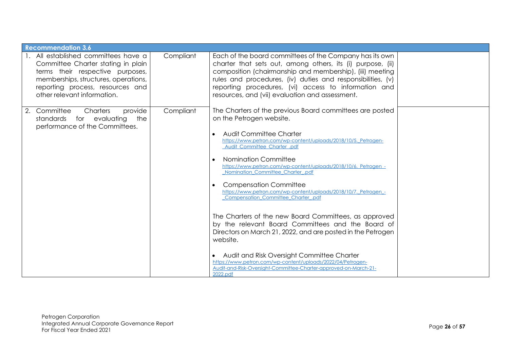| <b>Recommendation 3.6</b>                                                                                                                                                                                                 |           |                                                                                                                                                                                                                                                                                                                                                                                                                                                                                                                                                                                                                                                                                                                                                                                                                                                                                                                                 |  |
|---------------------------------------------------------------------------------------------------------------------------------------------------------------------------------------------------------------------------|-----------|---------------------------------------------------------------------------------------------------------------------------------------------------------------------------------------------------------------------------------------------------------------------------------------------------------------------------------------------------------------------------------------------------------------------------------------------------------------------------------------------------------------------------------------------------------------------------------------------------------------------------------------------------------------------------------------------------------------------------------------------------------------------------------------------------------------------------------------------------------------------------------------------------------------------------------|--|
| 1. All established committees have a<br>Committee Charter stating in plain<br>terms their respective purposes,<br>memberships, structures, operations,<br>reporting process, resources and<br>other relevant information. | Compliant | Each of the board committees of the Company has its own<br>charter that sets out, among others, its (i) purpose, (ii)<br>composition (chairmanship and membership), (iii) meeting<br>rules and procedures, (iv) duties and responsibilities, (v)<br>reporting procedures, (vi) access to information and<br>resources, and (vii) evaluation and assessment.                                                                                                                                                                                                                                                                                                                                                                                                                                                                                                                                                                     |  |
| 2. Committee<br>Charters<br>provide<br>standards for evaluating<br>the<br>performance of the Committees.                                                                                                                  | Compliant | The Charters of the previous Board committees are posted<br>on the Petrogen website.<br><b>Audit Committee Charter</b><br>$\bullet$<br>https://www.petron.com/wp-content/uploads/2018/10/5. Petrogen-<br>Audit_Committee_Charter_pdf<br>Nomination Committee<br>$\bullet$<br>https://www.petron.com/wp-content/uploads/2018/10/6. Petrogen -<br>Nomination Committee Charter .pdf<br><b>Compensation Committee</b><br>$\bullet$<br>https://www.petron.com/wp-content/uploads/2018/10/7. Petrogen -<br>Compensation_Committee_Charter_.pdf<br>The Charters of the new Board Committees, as approved<br>by the relevant Board Committees and the Board of<br>Directors on March 21, 2022, and are posted in the Petrogen<br>website.<br>Audit and Risk Oversight Committee Charter<br>https://www.petron.com/wp-content/uploads/2022/04/Petrogen-<br>Audit-and-Risk-Oversight-Committee-Charter-approved-on-March-21-<br>2022.pdf |  |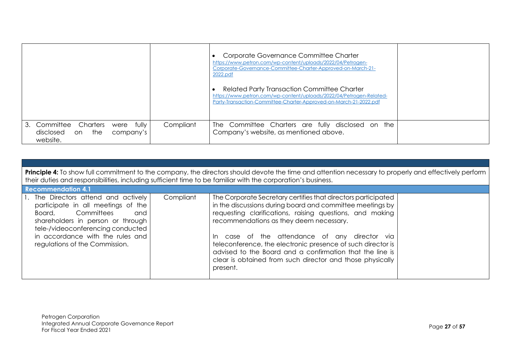|                                       |                       |                            |           | Corporate Governance Committee Charter<br>https://www.petron.com/wp-content/uploads/2022/04/Petrogen-<br>Corporate-Governance-Committee-Charter-Approved-on-March-21-<br>2022.pdf<br>Related Party Transaction Committee Charter<br>https://www.petron.com/wp-content/uploads/2022/04/Petrogen-Related-<br>Party-Transaction-Committee-Charter-Approved-on-March-21-2022.pdf |  |
|---------------------------------------|-----------------------|----------------------------|-----------|------------------------------------------------------------------------------------------------------------------------------------------------------------------------------------------------------------------------------------------------------------------------------------------------------------------------------------------------------------------------------|--|
| 3. Committee<br>disclosed<br>website. | Charters<br>the<br>on | fully<br>were<br>company's | Compliant | The Committee Charters are fully disclosed on<br>the<br>Company's website, as mentioned above.                                                                                                                                                                                                                                                                               |  |

|                                                                                                                                                                                                                                                        | <b>Principle 4:</b> To show full commitment to the company, the directors should devote the time and attention necessary to properly and effectively perform<br>their duties and responsibilities, including sufficient time to be familiar with the corporation's business. |                                                                                                                                                                                                                                                                                                                                                                                                                                                                                            |  |  |  |  |  |
|--------------------------------------------------------------------------------------------------------------------------------------------------------------------------------------------------------------------------------------------------------|------------------------------------------------------------------------------------------------------------------------------------------------------------------------------------------------------------------------------------------------------------------------------|--------------------------------------------------------------------------------------------------------------------------------------------------------------------------------------------------------------------------------------------------------------------------------------------------------------------------------------------------------------------------------------------------------------------------------------------------------------------------------------------|--|--|--|--|--|
| <b>Recommendation 4.1</b>                                                                                                                                                                                                                              |                                                                                                                                                                                                                                                                              |                                                                                                                                                                                                                                                                                                                                                                                                                                                                                            |  |  |  |  |  |
| 1. The Directors attend and actively<br>participate in all meetings of the<br>Board, Committees<br>and<br>shareholders in person or through<br>tele-/videoconferencing conducted<br>in accordance with the rules and<br>regulations of the Commission. | Compliant                                                                                                                                                                                                                                                                    | The Corporate Secretary certifies that directors participated<br>in the discussions during board and committee meetings by<br>requesting clarifications, raising questions, and making<br>recommendations as they deem necessary.<br>case of the attendance of any director via<br>In.<br>teleconference, the electronic presence of such director is<br>advised to the Board and a confirmation that the line is<br>clear is obtained from such director and those physically<br>present. |  |  |  |  |  |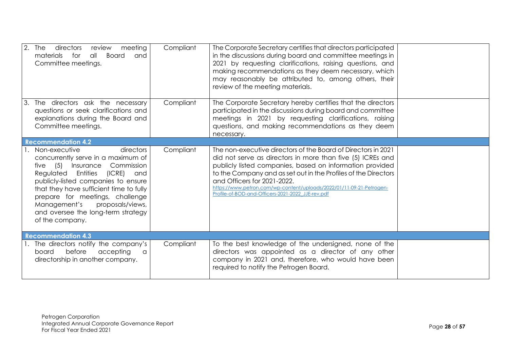| $2.$ The<br>directors<br>meeting<br>review<br><b>Board</b><br>materials<br>all<br>for<br>and<br>Committee meetings.                                                                                                                                                                                                                                          | Compliant | The Corporate Secretary certifies that directors participated<br>in the discussions during board and committee meetings in<br>2021 by requesting clarifications, raising questions, and<br>making recommendations as they deem necessary, which<br>may reasonably be attributed to, among others, their<br>review of the meeting materials.                                                                           |  |
|--------------------------------------------------------------------------------------------------------------------------------------------------------------------------------------------------------------------------------------------------------------------------------------------------------------------------------------------------------------|-----------|-----------------------------------------------------------------------------------------------------------------------------------------------------------------------------------------------------------------------------------------------------------------------------------------------------------------------------------------------------------------------------------------------------------------------|--|
| The directors ask the necessary<br>Ι3.<br>questions or seek clarifications and<br>explanations during the Board and<br>Committee meetings.                                                                                                                                                                                                                   | Compliant | The Corporate Secretary hereby certifies that the directors<br>participated in the discussions during board and committee<br>meetings in 2021 by requesting clarifications, raising<br>questions, and making recommendations as they deem<br>necessary.                                                                                                                                                               |  |
| <b>Recommendation 4.2</b>                                                                                                                                                                                                                                                                                                                                    |           |                                                                                                                                                                                                                                                                                                                                                                                                                       |  |
| Non-executive<br>directors<br>concurrently serve in a maximum of<br>five $(5)$<br>Insurance Commission<br>Regulated Entities<br>(ICRE) and<br>publicly-listed companies to ensure<br>that they have sufficient time to fully<br>prepare for meetings, challenge<br>Management's<br>proposals/views,<br>and oversee the long-term strategy<br>of the company. | Compliant | The non-executive directors of the Board of Directors in 2021<br>did not serve as directors in more than five (5) ICREs and<br>publicly listed companies, based on information provided<br>to the Company and as set out in the Profiles of the Directors<br>and Officers for 2021-2022.<br>https://www.petron.com/wp-content/uploads/2022/01/11-09-21-Petrogen-<br>Profile-of-BOD-and-Officers-2021-2022_JJE-rev.pdf |  |
| <b>Recommendation 4.3</b>                                                                                                                                                                                                                                                                                                                                    |           |                                                                                                                                                                                                                                                                                                                                                                                                                       |  |
| 1. The directors notify the company's<br>before<br>accepting<br>board<br>a<br>directorship in another company.                                                                                                                                                                                                                                               | Compliant | To the best knowledge of the undersigned, none of the<br>directors was appointed as a director of any other<br>company in 2021 and, therefore, who would have been<br>required to notify the Petrogen Board.                                                                                                                                                                                                          |  |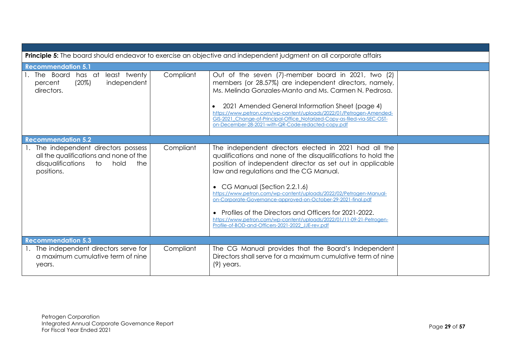|                                                                                                                                  |           | Principle 5: The board should endeavor to exercise an objective and independent judgment on all corporate affairs                                                                                                                                                                                                                                                                                                                                                                                                                                                                            |  |
|----------------------------------------------------------------------------------------------------------------------------------|-----------|----------------------------------------------------------------------------------------------------------------------------------------------------------------------------------------------------------------------------------------------------------------------------------------------------------------------------------------------------------------------------------------------------------------------------------------------------------------------------------------------------------------------------------------------------------------------------------------------|--|
| <b>Recommendation 5.1</b>                                                                                                        |           |                                                                                                                                                                                                                                                                                                                                                                                                                                                                                                                                                                                              |  |
| 1. The Board<br>has at least twenty<br>$(20\%)$<br>independent<br>percent<br>directors.                                          | Compliant | Out of the seven (7)-member board in 2021, two (2)<br>members (or 28.57%) are independent directors, namely,<br>Ms. Melinda Gonzales-Manto and Ms. Carmen N. Pedrosa.<br>2021 Amended General Information Sheet (page 4)<br>https://www.petron.com/wp-content/uploads/2022/01/Petrogen-Amended-<br>GIS-2021 Change-of-Principal-Office Notarized-Copy-as-filed-via-SEC-OST-<br>on-December-28-2021-with-QR-Code-redacted-copy.pdf                                                                                                                                                            |  |
| <b>Recommendation 5.2</b>                                                                                                        |           |                                                                                                                                                                                                                                                                                                                                                                                                                                                                                                                                                                                              |  |
| 1. The independent directors possess<br>all the qualifications and none of the<br>disqualifications to hold<br>the<br>positions. | Compliant | The independent directors elected in 2021 had all the<br>qualifications and none of the disqualifications to hold the<br>position of independent director as set out in applicable<br>law and regulations and the CG Manual.<br>• CG Manual (Section 2.2.1.6)<br>https://www.petron.com/wp-content/uploads/2022/02/Petrogen-Manual-<br>on-Corporate-Governance-approved-on-October-29-2021-final.pdf<br>• Profiles of the Directors and Officers for 2021-2022.<br>https://www.petron.com/wp-content/uploads/2022/01/11-09-21-Petrogen-<br>Profile-of-BOD-and-Officers-2021-2022 JJE-rev.pdf |  |
| <b>Recommendation 5.3</b>                                                                                                        |           |                                                                                                                                                                                                                                                                                                                                                                                                                                                                                                                                                                                              |  |
| 1. The independent directors serve for<br>a maximum cumulative term of nine<br>years.                                            | Compliant | The CG Manual provides that the Board's Independent<br>Directors shall serve for a maximum cumulative term of nine<br>$(9)$ years.                                                                                                                                                                                                                                                                                                                                                                                                                                                           |  |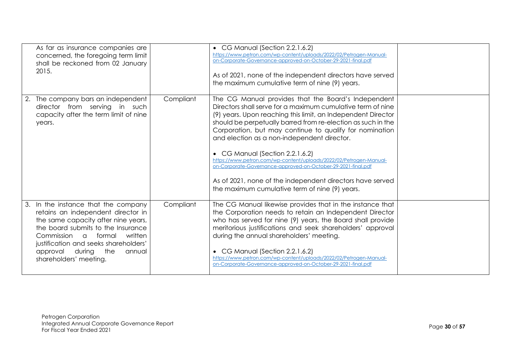| As far as insurance companies are<br>concerned, the foregoing term limit<br>shall be reckoned from 02 January<br>2015.                                                                                                                                                                          |           | • CG Manual (Section 2.2.1.6.2)<br>https://www.petron.com/wp-content/uploads/2022/02/Petrogen-Manual-<br>on-Corporate-Governance-approved-on-October-29-2021-final.pdf<br>As of 2021, none of the independent directors have served<br>the maximum cumulative term of nine (9) years.                                                                                                                                                                                                                                                                                                                                                                 |  |
|-------------------------------------------------------------------------------------------------------------------------------------------------------------------------------------------------------------------------------------------------------------------------------------------------|-----------|-------------------------------------------------------------------------------------------------------------------------------------------------------------------------------------------------------------------------------------------------------------------------------------------------------------------------------------------------------------------------------------------------------------------------------------------------------------------------------------------------------------------------------------------------------------------------------------------------------------------------------------------------------|--|
| 2. The company bars an independent<br>director from serving in such<br>capacity after the term limit of nine<br>years.                                                                                                                                                                          | Compliant | The CG Manual provides that the Board's Independent<br>Directors shall serve for a maximum cumulative term of nine<br>(9) years. Upon reaching this limit, an Independent Director<br>should be perpetually barred from re-election as such in the<br>Corporation, but may continue to qualify for nomination<br>and election as a non-independent director.<br>• CG Manual (Section 2.2.1.6.2)<br>https://www.petron.com/wp-content/uploads/2022/02/Petrogen-Manual-<br>on-Corporate-Governance-approved-on-October-29-2021-final.pdf<br>As of 2021, none of the independent directors have served<br>the maximum cumulative term of nine (9) years. |  |
| In the instance that the company<br>retains an independent director in<br>the same capacity after nine years,<br>the board submits to the Insurance<br>Commission a<br>formal<br>written<br>justification and seeks shareholders'<br>approval during<br>the<br>annual<br>shareholders' meeting. | Compliant | The CG Manual likewise provides that in the instance that<br>the Corporation needs to retain an Independent Director<br>who has served for nine (9) years, the Board shall provide<br>meritorious justifications and seek shareholders' approval<br>during the annual shareholders' meeting.<br>• CG Manual (Section 2.2.1.6.2)<br>https://www.petron.com/wp-content/uploads/2022/02/Petrogen-Manual-<br>on-Corporate-Governance-approved-on-October-29-2021-final.pdf                                                                                                                                                                                |  |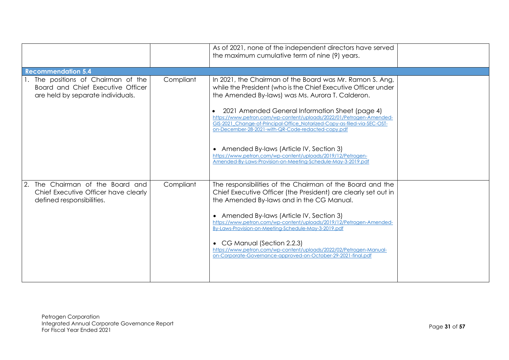|                                                                                                               |           | As of 2021, none of the independent directors have served<br>the maximum cumulative term of nine (9) years.                                                                                                                                                                                                                                                                                                                                                                                                                                                                                                           |  |
|---------------------------------------------------------------------------------------------------------------|-----------|-----------------------------------------------------------------------------------------------------------------------------------------------------------------------------------------------------------------------------------------------------------------------------------------------------------------------------------------------------------------------------------------------------------------------------------------------------------------------------------------------------------------------------------------------------------------------------------------------------------------------|--|
| <b>Recommendation 5.4</b>                                                                                     |           |                                                                                                                                                                                                                                                                                                                                                                                                                                                                                                                                                                                                                       |  |
| 1. The positions of Chairman of the<br>Board and Chief Executive Officer<br>are held by separate individuals. | Compliant | In 2021, the Chairman of the Board was Mr. Ramon S. Ang,<br>while the President (who is the Chief Executive Officer under<br>the Amended By-laws) was Ms. Aurora T. Calderon.<br>2021 Amended General Information Sheet (page 4)<br>https://www.petron.com/wp-content/uploads/2022/01/Petrogen-Amended-<br>GIS-2021_Change-of-Principal-Office_Notarized-Copy-as-filed-via-SEC-OST-<br>on-December-28-2021-with-QR-Code-redacted-copy.pdf<br>• Amended By-laws (Article IV, Section 3)<br>https://www.petron.com/wp-content/uploads/2019/12/Petrogen-<br>Amended-By-Laws-Provision-on-Meeting-Schedule-May-3-2019.pdf |  |
| The Chairman of the Board and<br>Chief Executive Officer have clearly<br>defined responsibilities.            | Compliant | The responsibilities of the Chairman of the Board and the<br>Chief Executive Officer (the President) are clearly set out in<br>the Amended By-laws and in the CG Manual.<br>• Amended By-laws (Article IV, Section 3)<br>https://www.petron.com/wp-content/uploads/2019/12/Petrogen-Amended-<br>By-Laws-Provision-on-Meeting-Schedule-May-3-2019.pdf<br>• CG Manual (Section 2.2.3)<br>https://www.petron.com/wp-content/uploads/2022/02/Petrogen-Manual-<br>on-Corporate-Governance-approved-on-October-29-2021-final.pdf                                                                                            |  |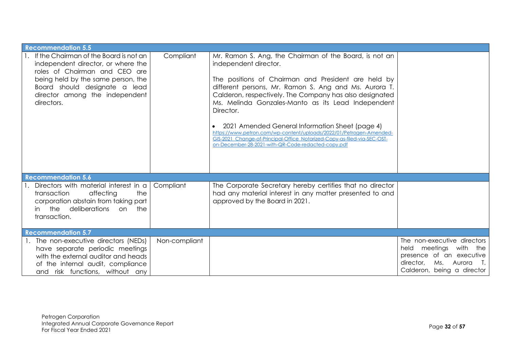| <b>Recommendation 5.5</b>                                                                                                                                                                                                               |               |                                                                                                                                                                                                                                                                                                                                                                                                                                                                                                                                                                                           |                                                                                                                                            |
|-----------------------------------------------------------------------------------------------------------------------------------------------------------------------------------------------------------------------------------------|---------------|-------------------------------------------------------------------------------------------------------------------------------------------------------------------------------------------------------------------------------------------------------------------------------------------------------------------------------------------------------------------------------------------------------------------------------------------------------------------------------------------------------------------------------------------------------------------------------------------|--------------------------------------------------------------------------------------------------------------------------------------------|
| 1. If the Chairman of the Board is not an<br>independent director, or where the<br>roles of Chairman and CEO are<br>being held by the same person, the<br>Board should designate a lead<br>director among the independent<br>directors. | Compliant     | Mr. Ramon S. Ang, the Chairman of the Board, is not an<br>independent director.<br>The positions of Chairman and President are held by<br>different persons, Mr. Ramon S. Ang and Ms. Aurora T.<br>Calderon, respectively. The Company has also designated<br>Ms. Melinda Gonzales-Manto as its Lead Independent<br>Director.<br>2021 Amended General Information Sheet (page 4)<br>https://www.petron.com/wp-content/uploads/2022/01/Petrogen-Amended-<br>GIS-2021_Change-of-Principal-Office_Notarized-Copy-as-filed-via-SEC-OST-<br>on-December-28-2021-with-QR-Code-redacted-copy.pdf |                                                                                                                                            |
| <b>Recommendation 5.6</b>                                                                                                                                                                                                               |               |                                                                                                                                                                                                                                                                                                                                                                                                                                                                                                                                                                                           |                                                                                                                                            |
| 1. Directors with material interest in a<br>transaction<br>affecting<br>the<br>corporation abstain from taking part<br>in the deliberations<br>on the<br>transaction.                                                                   | Compliant     | The Corporate Secretary hereby certifies that no director<br>had any material interest in any matter presented to and<br>approved by the Board in 2021.                                                                                                                                                                                                                                                                                                                                                                                                                                   |                                                                                                                                            |
| <b>Recommendation 5.7</b>                                                                                                                                                                                                               |               |                                                                                                                                                                                                                                                                                                                                                                                                                                                                                                                                                                                           |                                                                                                                                            |
| 1. The non-executive directors (NEDs)<br>have separate periodic meetings<br>with the external auditor and heads<br>of the internal audit, compliance<br>and risk functions, without any                                                 | Non-compliant |                                                                                                                                                                                                                                                                                                                                                                                                                                                                                                                                                                                           | The non-executive directors<br>held meetings with the<br>presence of an executive<br>director, Ms. Aurora T.<br>Calderon, being a director |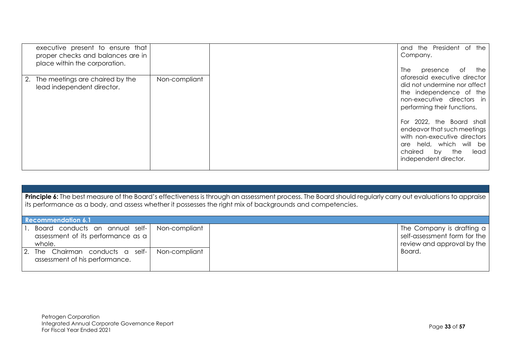| executive present to ensure that<br>proper checks and balances are in<br>place within the corporation. |               | and the President of the<br>Company.<br>of<br>the<br>The<br>presence                                                                                                         |
|--------------------------------------------------------------------------------------------------------|---------------|------------------------------------------------------------------------------------------------------------------------------------------------------------------------------|
| 2. The meetings are chaired by the<br>lead independent director.                                       | Non-compliant | aforesaid executive director<br>did not undermine nor affect<br>the independence of the<br>non-executive directors in<br>performing their functions.                         |
|                                                                                                        |               | 2022, the Board shall<br>For<br>endeavor that such meetings<br>with non-executive directors<br>are held, which will be<br>chaired by<br>the<br>lead<br>independent director. |

| Principle 6: The best measure of the Board's effectiveness is through an assessment process. The Board should regularly carry out evaluations to appraise |
|-----------------------------------------------------------------------------------------------------------------------------------------------------------|
| its performance as a body, and assess whether it possesses the right mix of backgrounds and competencies.                                                 |

| <b>Recommendation 6.1</b>                                                                         |               |  |                                                                                         |  |
|---------------------------------------------------------------------------------------------------|---------------|--|-----------------------------------------------------------------------------------------|--|
| 1. Board conducts an annual self-   Non-compliant<br>assessment of its performance as a<br>whole. |               |  | The Company is drafting a<br>self-assessment form for the<br>review and approval by the |  |
| 2. The Chairman conducts a self-<br>assessment of his performance.                                | Non-compliant |  | Board.                                                                                  |  |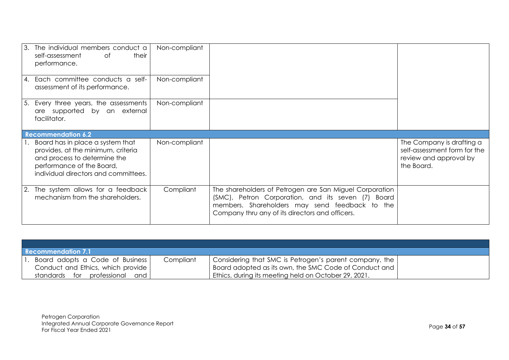|    | 3. The individual members conduct a<br>their<br>self-assessment<br>0f<br>performance.                                                                                       | Non-compliant |                                                                                                                                                                                                                    |                                                                                                   |
|----|-----------------------------------------------------------------------------------------------------------------------------------------------------------------------------|---------------|--------------------------------------------------------------------------------------------------------------------------------------------------------------------------------------------------------------------|---------------------------------------------------------------------------------------------------|
|    | 4. Each committee conducts a self-<br>assessment of its performance.                                                                                                        | Non-compliant |                                                                                                                                                                                                                    |                                                                                                   |
| 5. | Every three years, the assessments<br>are supported by an external<br>facilitator.                                                                                          | Non-compliant |                                                                                                                                                                                                                    |                                                                                                   |
|    | <b>Recommendation 6.2</b>                                                                                                                                                   |               |                                                                                                                                                                                                                    |                                                                                                   |
|    | Board has in place a system that<br>provides, at the minimum, criteria<br>and process to determine the<br>performance of the Board,<br>individual directors and committees. | Non-compliant |                                                                                                                                                                                                                    | The Company is drafting a<br>self-assessment form for the<br>review and approval by<br>the Board. |
|    | 2. The system allows for a feedback<br>mechanism from the shareholders.                                                                                                     | Compliant     | The shareholders of Petrogen are San Miguel Corporation<br>(SMC), Petron Corporation, and its seven (7) Board<br>members. Shareholders may send feedback to the<br>Company thru any of its directors and officers. |                                                                                                   |

| Recommendation 7.1                |           |                                                        |  |  |
|-----------------------------------|-----------|--------------------------------------------------------|--|--|
| Board adopts a Code of Business   | Compliant | Considering that SMC is Petrogen's parent company, the |  |  |
| Conduct and Ethics, which provide |           | Board adopted as its own, the SMC Code of Conduct and  |  |  |
| standards for professional<br>and |           | Ethics, during its meeting held on October 29, 2021.   |  |  |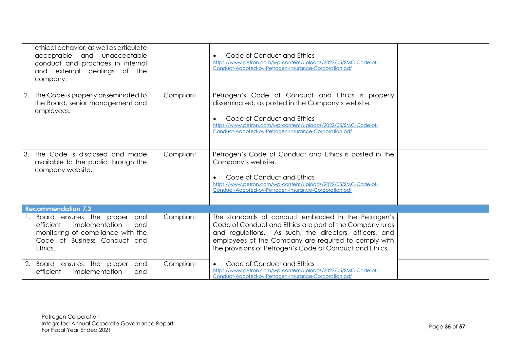|                | ethical behavior, as well as articulate<br>acceptable and unacceptable<br>conduct and practices in internal<br>and external dealings of the<br>company. |           | Code of Conduct and Ethics<br>https://www.petron.com/wp-content/uploads/2022/05/SMC-Code-of-<br>Conduct-Adopted-by-Petrogen-Insurance-Corporation.pdf                                                                                                                                         |  |
|----------------|---------------------------------------------------------------------------------------------------------------------------------------------------------|-----------|-----------------------------------------------------------------------------------------------------------------------------------------------------------------------------------------------------------------------------------------------------------------------------------------------|--|
|                | 2. The Code is properly disseminated to<br>the Board, senior management and<br>employees.                                                               | Compliant | Petrogen's Code of Conduct and Ethics is properly<br>disseminated, as posted in the Company's website.<br>Code of Conduct and Ethics<br>https://www.petron.com/wp-content/uploads/2022/05/SMC-Code-of-<br>Conduct-Adopted-by-Petrogen-Insurance-Corporation.pdf                               |  |
| 3.             | The Code is disclosed and made<br>available to the public through the<br>company website.                                                               | Compliant | Petrogen's Code of Conduct and Ethics is posted in the<br>Company's website.<br>Code of Conduct and Ethics<br>https://www.petron.com/wp-content/uploads/2022/05/SMC-Code-of-<br>Conduct-Adopted-by-Petrogen-Insurance-Corporation.pdf                                                         |  |
|                | <b>Recommendation 7.2</b>                                                                                                                               |           |                                                                                                                                                                                                                                                                                               |  |
| $\mathbf{1}$ . | Board ensures the proper<br>and<br>implementation<br>efficient<br>and<br>monitoring of compliance with the<br>Code of Business Conduct and<br>Ethics.   | Compliant | The standards of conduct embodied in the Petrogen's<br>Code of Conduct and Ethics are part of the Company rules<br>and regulations. As such, the directors, officers, and<br>employees of the Company are required to comply with<br>the provisions of Petrogen's Code of Conduct and Ethics. |  |
|                | 2. Board ensures the proper<br>and<br>efficient<br>implementation<br>and                                                                                | Compliant | Code of Conduct and Ethics<br>https://www.petron.com/wp-content/uploads/2022/05/SMC-Code-of-<br>Conduct-Adopted-by-Petrogen-Insurance-Corporation.pdf                                                                                                                                         |  |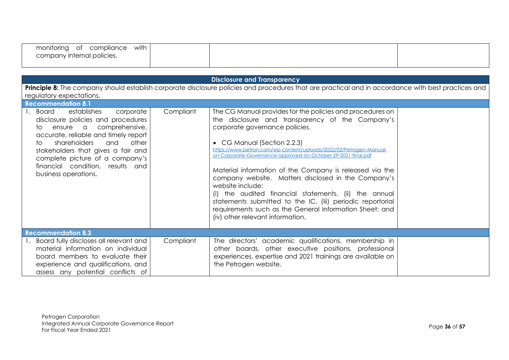| with<br>monitoring<br>compliance<br>0t |  |  |
|----------------------------------------|--|--|
| company internal policies.             |  |  |
|                                        |  |  |

| <b>Disclosure and Transparency</b>                                                                                                                                                                                                                                                                                                               |                                                                                                                                                                                                                                                                                                                                                                                                                                                                                                                                                                                                                                                                                   |  |  |  |  |
|--------------------------------------------------------------------------------------------------------------------------------------------------------------------------------------------------------------------------------------------------------------------------------------------------------------------------------------------------|-----------------------------------------------------------------------------------------------------------------------------------------------------------------------------------------------------------------------------------------------------------------------------------------------------------------------------------------------------------------------------------------------------------------------------------------------------------------------------------------------------------------------------------------------------------------------------------------------------------------------------------------------------------------------------------|--|--|--|--|
| regulatory expectations.                                                                                                                                                                                                                                                                                                                         | Principle 8: The company should establish corporate disclosure policies and procedures that are practical and in accordance with best practices and                                                                                                                                                                                                                                                                                                                                                                                                                                                                                                                               |  |  |  |  |
| <b>Recommendation 8.1</b>                                                                                                                                                                                                                                                                                                                        |                                                                                                                                                                                                                                                                                                                                                                                                                                                                                                                                                                                                                                                                                   |  |  |  |  |
| Compliant<br>establishes<br><b>Board</b><br>corporate<br>disclosure policies and procedures<br>ensure a comprehensive,<br>to.<br>accurate, reliable and timely report<br>shareholders<br>and<br>other<br>t∩<br>stakeholders that gives a fair and<br>complete picture of a company's<br>financial condition, results and<br>business operations. | The CG Manual provides for the policies and procedures on<br>the disclosure and transparency of the Company's<br>corporate governance policies.<br>• CG Manual (Section 2.2.3)<br>https://www.petron.com/wp-content/uploads/2022/02/Petrogen-Manual-<br>on-Corporate-Governance-approved-on-October-29-2021-final.pdf<br>Material information of the Company is released via the<br>company website. Matters disclosed in the Company's<br>website include:<br>(i) the audited financial statements, (ii) the annual<br>statements submitted to the IC, (iii) periodic reportorial<br>requirements such as the General Information Sheet; and<br>(iv) other relevant information. |  |  |  |  |
| <b>Recommendation 8.3</b>                                                                                                                                                                                                                                                                                                                        |                                                                                                                                                                                                                                                                                                                                                                                                                                                                                                                                                                                                                                                                                   |  |  |  |  |
| 1. Board fully discloses all relevant and<br>Compliant<br>material information on individual<br>board members to evaluate their<br>experience and qualifications, and<br>assess any potential conflicts of                                                                                                                                       | The directors' academic qualifications, membership in<br>other boards, other executive positions, professional<br>experiences, expertise and 2021 trainings are available on<br>the Petrogen website.                                                                                                                                                                                                                                                                                                                                                                                                                                                                             |  |  |  |  |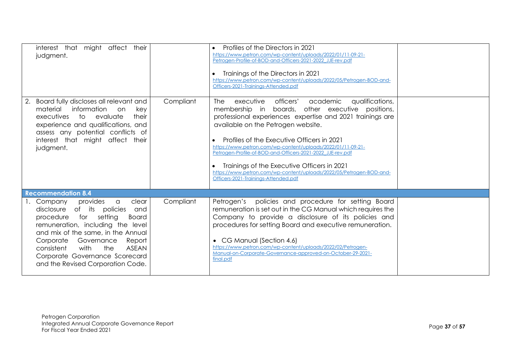| interest that might affect their<br>judgment.                                                                                                                                                                                                                                                                                                   |           | Profiles of the Directors in 2021<br>https://www.petron.com/wp-content/uploads/2022/01/11-09-21-<br>Petrogen-Profile-of-BOD-and-Officers-2021-2022_JJE-rev.pdf<br>Trainings of the Directors in 2021<br>https://www.petron.com/wp-content/uploads/2022/05/Petrogen-BOD-and-<br>Officers-2021-Trainings-Attended.pdf                                                                                                                                                                                                                                                 |  |
|-------------------------------------------------------------------------------------------------------------------------------------------------------------------------------------------------------------------------------------------------------------------------------------------------------------------------------------------------|-----------|---------------------------------------------------------------------------------------------------------------------------------------------------------------------------------------------------------------------------------------------------------------------------------------------------------------------------------------------------------------------------------------------------------------------------------------------------------------------------------------------------------------------------------------------------------------------|--|
| Board fully discloses all relevant and<br>information on<br>material<br>key<br>executives to evaluate<br>their<br>experience and qualifications, and<br>assess any potential conflicts of<br>interest that might affect their<br>judgment.                                                                                                      | Compliant | <b>The</b><br>officers'<br>executive<br>academic<br>qualifications,<br>membership in boards, other executive positions,<br>professional experiences expertise and 2021 trainings are<br>available on the Petrogen website.<br>Profiles of the Executive Officers in 2021<br>https://www.petron.com/wp-content/uploads/2022/01/11-09-21-<br>Petrogen-Profile-of-BOD-and-Officers-2021-2022_JJE-rev.pdf<br>Trainings of the Executive Officers in 2021<br>https://www.petron.com/wp-content/uploads/2022/05/Petrogen-BOD-and-<br>Officers-2021-Trainings-Attended.pdf |  |
| <b>Recommendation 8.4</b>                                                                                                                                                                                                                                                                                                                       |           |                                                                                                                                                                                                                                                                                                                                                                                                                                                                                                                                                                     |  |
| provides<br>clear<br>1. Company<br>a<br>disclosure of its policies<br>and<br>for setting<br>procedure<br><b>Board</b><br>remuneration, including the level<br>and mix of the same, in the Annual<br>Corporate Governance<br>Report<br>consistent<br>with<br>the<br>ASEAN<br>Corporate Governance Scorecard<br>and the Revised Corporation Code. | Compliant | Petrogen's policies and procedure for setting Board<br>remuneration is set out in the CG Manual which requires the<br>Company to provide a disclosure of its policies and<br>procedures for setting Board and executive remuneration.<br>• CG Manual (Section 4.6)<br>https://www.petron.com/wp-content/uploads/2022/02/Petrogen-<br>Manual-on-Corporate-Governance-approved-on-October-29-2021-<br>final.pdf                                                                                                                                                       |  |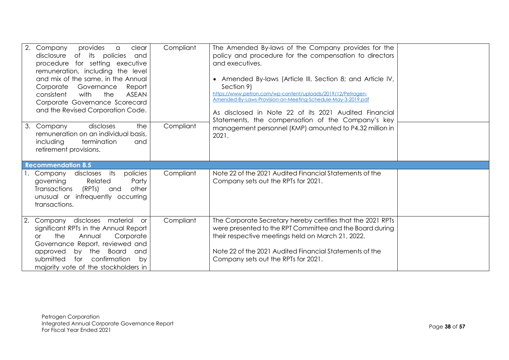| 2. Company<br>provides<br>clear<br>$\alpha$<br>of its policies<br>disclosure<br>and<br>procedure for setting executive<br>remuneration, including the level<br>and mix of the same, in the Annual<br>Governance<br>Corporate<br>Report<br>with<br><b>ASEAN</b><br>consistent<br>the<br>Corporate Governance Scorecard<br>and the Revised Corporation Code. | Compliant | The Amended By-laws of the Company provides for the<br>policy and procedure for the compensation to directors<br>and executives.<br>• Amended By-laws (Article III, Section 8; and Article IV,<br>Section 9)<br>https://www.petron.com/wp-content/uploads/2019/12/Petrogen-<br>Amended-By-Laws-Provision-on-Meeting-Schedule-May-3-2019.pdf |  |
|------------------------------------------------------------------------------------------------------------------------------------------------------------------------------------------------------------------------------------------------------------------------------------------------------------------------------------------------------------|-----------|---------------------------------------------------------------------------------------------------------------------------------------------------------------------------------------------------------------------------------------------------------------------------------------------------------------------------------------------|--|
| the<br>discloses<br>3. Company<br>remuneration on an individual basis,<br>including<br>termination<br>and<br>retirement provisions.                                                                                                                                                                                                                        | Compliant | As disclosed in Note 22 of its 2021 Audited Financial<br>Statements, the compensation of the Company's key<br>management personnel (KMP) amounted to P4.32 million in<br>2021.                                                                                                                                                              |  |
| <b>Recommendation 8.5</b>                                                                                                                                                                                                                                                                                                                                  |           |                                                                                                                                                                                                                                                                                                                                             |  |
| policies<br>discloses<br>1. Company<br>its<br>Related<br>governing<br>Party<br>(RPTs)<br><b>Transactions</b><br>other<br>and<br>unusual or infrequently occurring<br>transactions.                                                                                                                                                                         | Compliant | Note 22 of the 2021 Audited Financial Statements of the<br>Company sets out the RPTs for 2021.                                                                                                                                                                                                                                              |  |
| material<br>Company<br>discloses<br><b>or</b><br>significant RPTs in the Annual Report<br>the<br>Annual<br>Corporate<br>Ωr<br>Governance Report, reviewed and<br>Board<br>by the<br>approved<br>and<br>submitted<br>confirmation<br>for<br>by<br>majority vote of the stockholders in                                                                      | Compliant | The Corporate Secretary hereby certifies that the 2021 RPTs<br>were presented to the RPT Committee and the Board during<br>their respective meetings held on March 21, 2022.<br>Note 22 of the 2021 Audited Financial Statements of the<br>Company sets out the RPTs for 2021.                                                              |  |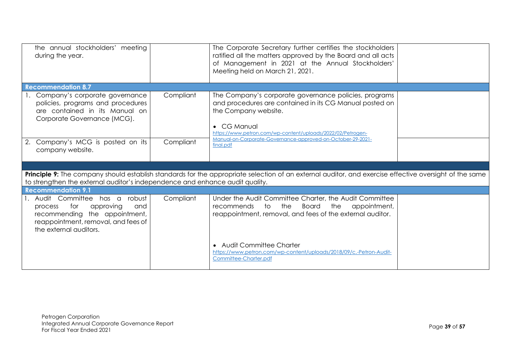| the annual stockholders' meeting<br>during the year.                                                                                                                    |           | The Corporate Secretary further certifies the stockholders<br>ratified all the matters approved by the Board and all acts<br>of Management in 2021 at the Annual Stockholders'<br>Meeting held on March 21, 2021.                                                                     |  |
|-------------------------------------------------------------------------------------------------------------------------------------------------------------------------|-----------|---------------------------------------------------------------------------------------------------------------------------------------------------------------------------------------------------------------------------------------------------------------------------------------|--|
| <b>Recommendation 8.7</b>                                                                                                                                               |           |                                                                                                                                                                                                                                                                                       |  |
| 1. Company's corporate governance<br>policies, programs and procedures<br>are contained in its Manual on<br>Corporate Governance (MCG).                                 | Compliant | The Company's corporate governance policies, programs<br>and procedures are contained in its CG Manual posted on<br>the Company website.<br>• CG Manual<br>https://www.petron.com/wp-content/uploads/2022/02/Petrogen-<br>Manual-on-Corporate-Governance-approved-on-October-29-2021- |  |
| Company's MCG is posted on its<br>2.<br>company website.                                                                                                                | Compliant | final.pdf                                                                                                                                                                                                                                                                             |  |
|                                                                                                                                                                         |           |                                                                                                                                                                                                                                                                                       |  |
| to strengthen the external auditor's independence and enhance audit quality.                                                                                            |           | Principle 9: The company should establish standards for the appropriate selection of an external auditor, and exercise effective oversight of the same                                                                                                                                |  |
| <b>Recommendation 9.1</b>                                                                                                                                               |           |                                                                                                                                                                                                                                                                                       |  |
| 1. Audit Committee has a robust<br>for<br>approving<br>process<br>and<br>recommending the appointment,<br>reappointment, removal, and fees of<br>the external auditors. | Compliant | Under the Audit Committee Charter, the Audit Committee<br><b>Board</b><br>the<br>appointment,<br>to<br>the<br>recommends<br>reappointment, removal, and fees of the external auditor.                                                                                                 |  |
|                                                                                                                                                                         |           | • Audit Committee Charter<br>https://www.petron.com/wp-content/uploads/2018/09/c.-Petron-Audit-<br>Committee-Charter.pdf                                                                                                                                                              |  |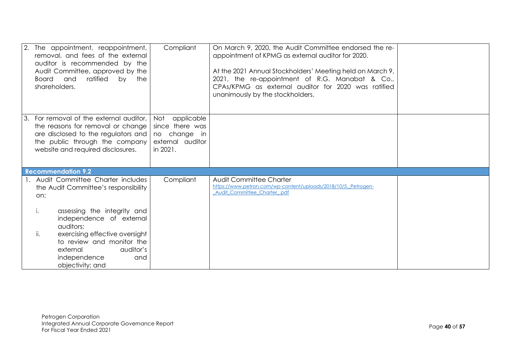|    | 2. The appointment, reappointment,<br>removal, and fees of the external<br>auditor is recommended by the<br>Audit Committee, approved by the<br>ratified<br><b>Board</b><br>and<br>by the<br>shareholders.                                                                             | Compliant                                                                            | On March 9, 2020, the Audit Committee endorsed the re-<br>appointment of KPMG as external auditor for 2020.<br>At the 2021 Annual Stockholders' Meeting held on March 9,<br>2021, the re-appointment of R.G. Manabat & Co.,<br>CPAs/KPMG as external auditor for 2020 was ratified<br>unanimously by the stockholders. |  |
|----|----------------------------------------------------------------------------------------------------------------------------------------------------------------------------------------------------------------------------------------------------------------------------------------|--------------------------------------------------------------------------------------|------------------------------------------------------------------------------------------------------------------------------------------------------------------------------------------------------------------------------------------------------------------------------------------------------------------------|--|
| 3. | For removal of the external auditor,<br>the reasons for removal or change<br>are disclosed to the regulators and<br>the public through the company<br>website and required disclosures.                                                                                                | Not<br>applicable<br>since there was<br>no change in<br>external auditor<br>in 2021. |                                                                                                                                                                                                                                                                                                                        |  |
|    | <b>Recommendation 9.2</b>                                                                                                                                                                                                                                                              |                                                                                      |                                                                                                                                                                                                                                                                                                                        |  |
|    | 1. Audit Committee Charter includes<br>the Audit Committee's responsibility<br>on:<br>assessing the integrity and<br>i.<br>independence of external<br>auditors;<br>ii.<br>exercising effective oversight<br>to review and monitor the<br>external<br>auditor's<br>independence<br>and | Compliant                                                                            | Audit Committee Charter<br>https://www.petron.com/wp-content/uploads/2018/10/5. Petrogen-<br>Audit Committee Charter .pdf                                                                                                                                                                                              |  |
|    | objectivity; and                                                                                                                                                                                                                                                                       |                                                                                      |                                                                                                                                                                                                                                                                                                                        |  |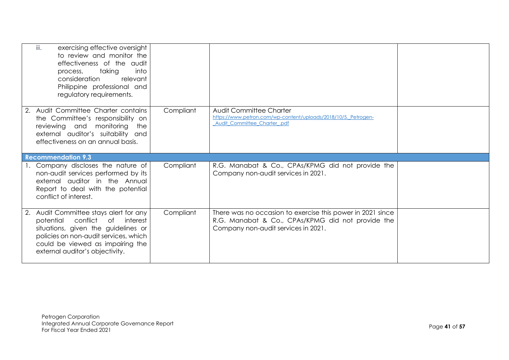| iii.<br>exercising effective oversight<br>to review and monitor the<br>effectiveness of the audit<br>taking<br>into<br>process,<br>consideration<br>relevant<br>Philippine professional and<br>regulatory requirements.               |           |                                                                                                                                                        |  |
|---------------------------------------------------------------------------------------------------------------------------------------------------------------------------------------------------------------------------------------|-----------|--------------------------------------------------------------------------------------------------------------------------------------------------------|--|
| 2. Audit Committee Charter contains<br>the Committee's responsibility on<br>reviewing and monitoring<br>the<br>external auditor's suitability and<br>effectiveness on an annual basis.                                                | Compliant | Audit Committee Charter<br>https://www.petron.com/wp-content/uploads/2018/10/5. Petrogen-<br>Audit Committee Charter .pdf                              |  |
| <b>Recommendation 9.3</b>                                                                                                                                                                                                             |           |                                                                                                                                                        |  |
| 1. Company discloses the nature of<br>non-audit services performed by its<br>external auditor in the Annual<br>Report to deal with the potential<br>conflict of interest.                                                             | Compliant | R.G. Manabat & Co., CPAs/KPMG did not provide the<br>Company non-audit services in 2021.                                                               |  |
| 2. Audit Committee stays alert for any<br>conflict<br>potential<br>of interest<br>situations, given the guidelines or<br>policies on non-audit services, which<br>could be viewed as impairing the<br>external auditor's objectivity. | Compliant | There was no occasion to exercise this power in 2021 since<br>R.G. Manabat & Co., CPAs/KPMG did not provide the<br>Company non-audit services in 2021. |  |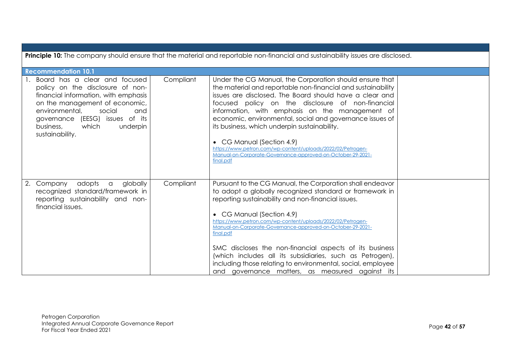| Principle 10: The company should ensure that the material and reportable non-financial and sustainability issues are disclosed.                                                                                                                                        |           |                                                                                                                                                                                                                                                                                                                                                                                                                                                                                                                                                                                             |  |  |  |  |
|------------------------------------------------------------------------------------------------------------------------------------------------------------------------------------------------------------------------------------------------------------------------|-----------|---------------------------------------------------------------------------------------------------------------------------------------------------------------------------------------------------------------------------------------------------------------------------------------------------------------------------------------------------------------------------------------------------------------------------------------------------------------------------------------------------------------------------------------------------------------------------------------------|--|--|--|--|
| <b>Recommendation 10.1</b>                                                                                                                                                                                                                                             |           |                                                                                                                                                                                                                                                                                                                                                                                                                                                                                                                                                                                             |  |  |  |  |
| Board has a clear and focused<br>policy on the disclosure of non-<br>financial information, with emphasis<br>on the management of economic,<br>environmental,<br>social<br>and<br>governance (EESG) issues of its<br>which<br>underpin<br>business,<br>sustainability. | Compliant | Under the CG Manual, the Corporation should ensure that<br>the material and reportable non-financial and sustainability<br>issues are disclosed. The Board should have a clear and<br>focused policy on the disclosure of non-financial<br>information, with emphasis on the management of<br>economic, environmental, social and governance issues of<br>its business, which underpin sustainability.<br>• CG Manual (Section 4.9)<br>https://www.petron.com/wp-content/uploads/2022/02/Petrogen-<br>Manual-on-Corporate-Governance-approved-on-October-29-2021-<br>final.pdf              |  |  |  |  |
| 2.<br>Company<br>adopts<br>globally<br>$\alpha$<br>recognized standard/framework in<br>reporting sustainability and non-<br>financial issues.                                                                                                                          | Compliant | Pursuant to the CG Manual, the Corporation shall endeavor<br>to adopt a globally recognized standard or framework in<br>reporting sustainability and non-financial issues.<br>• CG Manual (Section 4.9)<br>https://www.petron.com/wp-content/uploads/2022/02/Petrogen-<br>Manual-on-Corporate-Governance-approved-on-October-29-2021-<br>final.pdf<br>SMC discloses the non-financial aspects of its business<br>(which includes all its subsidiaries, such as Petrogen),<br>including those relating to environmental, social, employee<br>and governance matters, as measured against its |  |  |  |  |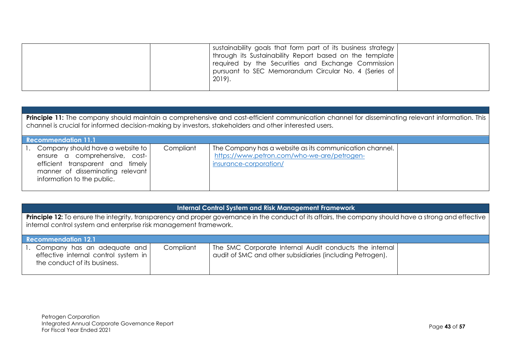| sustainability goals that form part of its business strategy<br>through its Sustainability Report based on the template<br>required by the Securities and Exchange Commission<br>pursuant to SEC Memorandum Circular No. 4 (Series of<br>$2019$ . |  |
|---------------------------------------------------------------------------------------------------------------------------------------------------------------------------------------------------------------------------------------------------|--|
|---------------------------------------------------------------------------------------------------------------------------------------------------------------------------------------------------------------------------------------------------|--|

Principle 11: The company should maintain a comprehensive and cost-efficient communication channel for disseminating relevant information. This channel is crucial for informed decision-making by investors, stakeholders and other interested users.

| <b>Recommendation 11.1</b>                                                                                                                                                   |           |                                                                                                                                  |  |  |
|------------------------------------------------------------------------------------------------------------------------------------------------------------------------------|-----------|----------------------------------------------------------------------------------------------------------------------------------|--|--|
| 1. Company should have a website to  <br>ensure a comprehensive, cost-<br>efficient transparent and timely<br>manner of disseminating relevant<br>information to the public. | Compliant | The Company has a website as its communication channel.<br>https://www.petron.com/who-we-are/petrogen-<br>insurance-corporation/ |  |  |

## **Internal Control System and Risk Management Framework**

**Principle 12:** To ensure the integrity, transparency and proper governance in the conduct of its affairs, the company should have a strong and effective internal control system and enterprise risk management framework.

| <b>Recommendation 12.1</b>                                                                             |           |                                                                                                                     |  |  |
|--------------------------------------------------------------------------------------------------------|-----------|---------------------------------------------------------------------------------------------------------------------|--|--|
| 1. Company has an adequate and<br>effective internal control system in<br>the conduct of its business. | Compliant | The SMC Corporate Internal Audit conducts the internal<br>audit of SMC and other subsidiaries (including Petrogen). |  |  |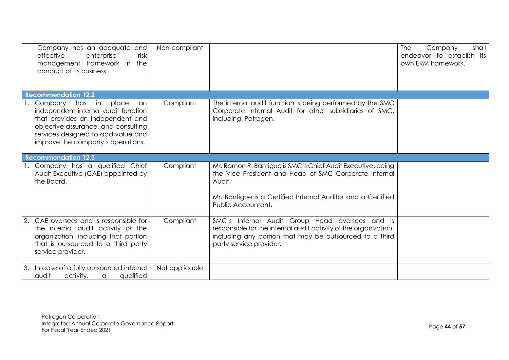| Company has an adequate and<br>effective<br>enterprise<br>risk<br>management framework in the<br>conduct of its business.                                                                                                     | Non-compliant  |                                                                                                                                                                                                                      | <b>The</b><br>Company<br>shall<br>endeavor to establish its<br>own ERM framework. |
|-------------------------------------------------------------------------------------------------------------------------------------------------------------------------------------------------------------------------------|----------------|----------------------------------------------------------------------------------------------------------------------------------------------------------------------------------------------------------------------|-----------------------------------------------------------------------------------|
| <b>Recommendation 12.2</b>                                                                                                                                                                                                    |                |                                                                                                                                                                                                                      |                                                                                   |
| has in<br>place<br>Company<br>an<br>independent internal audit function<br>that provides an independent and<br>objective assurance, and consulting<br>services designed to add value and<br>improve the company's operations. | Compliant      | The internal audit function is being performed by the SMC<br>Corporate Internal Audit for other subsidiaries of SMC,<br>including, Petrogen.                                                                         |                                                                                   |
| <b>Recommendation 12.3</b>                                                                                                                                                                                                    |                |                                                                                                                                                                                                                      |                                                                                   |
| 1. Company has a qualified Chief<br>Audit Executive (CAE) appointed by<br>the Board.                                                                                                                                          | Compliant      | Mr. Ramon R. Bantigue is SMC's Chief Audit Executive, being<br>the Vice President and Head of SMC Corporate Internal<br>Audit.<br>Mr. Bantigue is a Certified Internal Auditor and a Certified<br>Public Accountant. |                                                                                   |
| CAE oversees and is responsible for<br>the internal audit activity of the<br>organization, including that portion<br>that is outsourced to a third party<br>service provider.                                                 | Compliant      | SMC's Internal Audit Group Head oversees and is<br>responsible for the internal audit activity of the organization,<br>including any portion that may be outsourced to a third<br>party service provider.            |                                                                                   |
| 3.<br>In case of a fully outsourced internal<br>audit<br>activity,<br>qualified<br>$\alpha$                                                                                                                                   | Not applicable |                                                                                                                                                                                                                      |                                                                                   |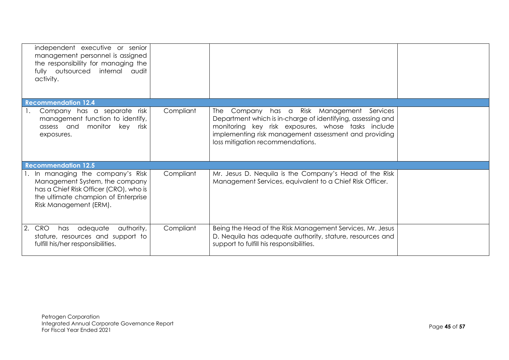| independent executive or senior<br>management personnel is assigned<br>the responsibility for managing the<br>fully outsourced internal audit<br>activity.                     |           |                                                                                                                                                                                                                |  |
|--------------------------------------------------------------------------------------------------------------------------------------------------------------------------------|-----------|----------------------------------------------------------------------------------------------------------------------------------------------------------------------------------------------------------------|--|
| <b>Recommendation 12.4</b><br>Company has a separate risk<br>1.                                                                                                                | Compliant | The Company has a Risk Management Services                                                                                                                                                                     |  |
| management function to identify,<br>assess and monitor key risk<br>exposures.                                                                                                  |           | Department which is in-charge of identifying, assessing and<br>monitoring key risk exposures, whose tasks include<br>implementing risk management assessment and providing<br>loss mitigation recommendations. |  |
| <b>Recommendation 12.5</b>                                                                                                                                                     |           |                                                                                                                                                                                                                |  |
| 1. In managing the company's Risk<br>Management System, the company<br>has a Chief Risk Officer (CRO), who is<br>the ultimate champion of Enterprise<br>Risk Management (ERM). | Compliant | Mr. Jesus D. Nequila is the Company's Head of the Risk<br>Management Services, equivalent to a Chief Risk Officer.                                                                                             |  |
| authority,<br>adequate<br><b>CRO</b><br>has<br>stature, resources and support to<br>fulfill his/her responsibilities.                                                          | Compliant | Being the Head of the Risk Management Services, Mr. Jesus<br>D. Nequila has adequate authority, stature, resources and<br>support to fulfill his responsibilities.                                             |  |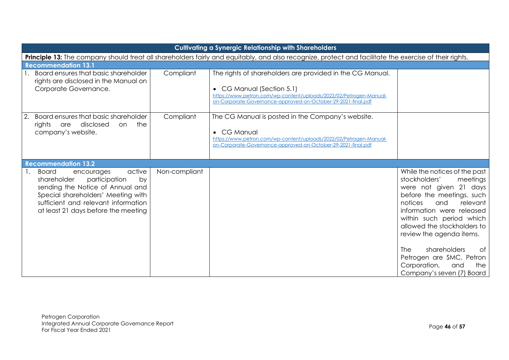| <b>Cultivating a Synergic Relationship with Shareholders</b>                                                                                                                                                                      |               |                                                                                                                                                                                                                               |                                                                                                                                                                                                                                                                                                                                                                                                |
|-----------------------------------------------------------------------------------------------------------------------------------------------------------------------------------------------------------------------------------|---------------|-------------------------------------------------------------------------------------------------------------------------------------------------------------------------------------------------------------------------------|------------------------------------------------------------------------------------------------------------------------------------------------------------------------------------------------------------------------------------------------------------------------------------------------------------------------------------------------------------------------------------------------|
|                                                                                                                                                                                                                                   |               | Principle 13: The company should treat all shareholders fairly and equitably, and also recognize, protect and facilitate the exercise of their rights.                                                                        |                                                                                                                                                                                                                                                                                                                                                                                                |
| <b>Recommendation 13.1</b>                                                                                                                                                                                                        |               |                                                                                                                                                                                                                               |                                                                                                                                                                                                                                                                                                                                                                                                |
| 1. Board ensures that basic shareholder<br>rights are disclosed in the Manual on<br>Corporate Governance.                                                                                                                         | Compliant     | The rights of shareholders are provided in the CG Manual.<br>• CG Manual (Section 5.1)<br>https://www.petron.com/wp-content/uploads/2022/02/Petrogen-Manual-<br>on-Corporate-Governance-approved-on-October-29-2021-final.pdf |                                                                                                                                                                                                                                                                                                                                                                                                |
| Board ensures that basic shareholder<br>rights are disclosed<br>the<br>on.<br>company's website.                                                                                                                                  | Compliant     | The CG Manual is posted in the Company's website.<br>• CG Manual<br>https://www.petron.com/wp-content/uploads/2022/02/Petrogen-Manual-<br>on-Corporate-Governance-approved-on-October-29-2021-final.pdf                       |                                                                                                                                                                                                                                                                                                                                                                                                |
| <b>Recommendation 13.2</b>                                                                                                                                                                                                        |               |                                                                                                                                                                                                                               |                                                                                                                                                                                                                                                                                                                                                                                                |
| active<br>1.<br>Board<br>encourages<br>shareholder<br>participation<br>by<br>sending the Notice of Annual and<br>Special shareholders' Meeting with<br>sufficient and relevant information<br>at least 21 days before the meeting | Non-compliant |                                                                                                                                                                                                                               | While the notices of the past<br>stockholders'<br>meetings<br>were not given 21 days<br>before the meetings, such<br>notices<br>relevant<br>and<br>information were released<br>within such period which<br>allowed the stockholders to<br>review the agenda items.<br><b>The</b><br>shareholders<br>Оf<br>Petrogen are SMC, Petron<br>Corporation,<br>and<br>the<br>Company's seven (7) Board |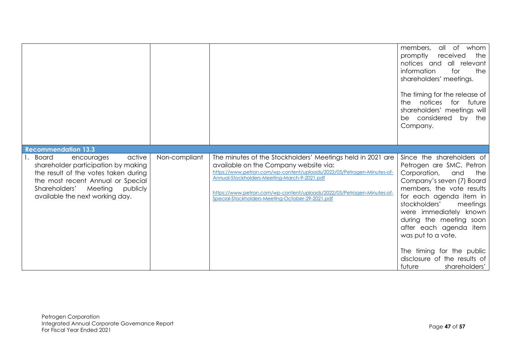|                                                                                                                                                                                                                                 |               |                                                                                                                                                                                                                                                                                                                                                             | members, all<br>of whom<br>promptly<br>received<br>the<br>notices and all relevant<br>information<br>for<br>the<br>shareholders' meetings.<br>The timing for the release of<br>the notices for future<br>shareholders' meetings will<br>be considered<br>by the<br>Company.                                                                                                                        |
|---------------------------------------------------------------------------------------------------------------------------------------------------------------------------------------------------------------------------------|---------------|-------------------------------------------------------------------------------------------------------------------------------------------------------------------------------------------------------------------------------------------------------------------------------------------------------------------------------------------------------------|----------------------------------------------------------------------------------------------------------------------------------------------------------------------------------------------------------------------------------------------------------------------------------------------------------------------------------------------------------------------------------------------------|
| <b>Recommendation 13.3</b>                                                                                                                                                                                                      |               |                                                                                                                                                                                                                                                                                                                                                             |                                                                                                                                                                                                                                                                                                                                                                                                    |
| active<br>1. Board<br>encourages<br>shareholder participation by making<br>the result of the votes taken during<br>the most recent Annual or Special<br>Shareholders'<br>Meeting<br>publicly<br>available the next working day. | Non-compliant | The minutes of the Stockholders' Meetings held in 2021 are<br>available on the Company website via:<br>https://www.petron.com/wp-content/uploads/2022/05/Petrogen-Minutes-of-<br>Annual-Stockholders-Meeting-March-9-2021.pdf<br>https://www.petron.com/wp-content/uploads/2022/05/Petrogen-Minutes-of-<br>Special-Stockholders-Meeting-October-29-2021.pdf | Since the shareholders of<br>Petrogen are SMC, Petron<br>Corporation,<br>and<br>the<br>Company's seven (7) Board<br>members, the vote results<br>for each agenda item in<br>stockholders'<br>meetings<br>were immediately known<br>during the meeting soon<br>after each agenda item<br>was put to a vote.<br>The timing for the public<br>disclosure of the results of<br>future<br>shareholders' |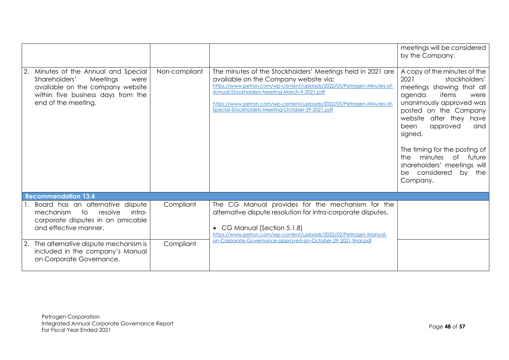|                                                                                                                                                                         |               |                                                                                                                                                                                                                                                                                                                                                             | meetings will be considered<br>by the Company.                                                                                                                                                                                                                                                                                                                       |
|-------------------------------------------------------------------------------------------------------------------------------------------------------------------------|---------------|-------------------------------------------------------------------------------------------------------------------------------------------------------------------------------------------------------------------------------------------------------------------------------------------------------------------------------------------------------------|----------------------------------------------------------------------------------------------------------------------------------------------------------------------------------------------------------------------------------------------------------------------------------------------------------------------------------------------------------------------|
| Minutes of the Annual and Special<br>Shareholders'<br>Meetings<br>were<br>available on the company website<br>within five business days from the<br>end of the meeting. | Non-compliant | The minutes of the Stockholders' Meetings held in 2021 are<br>available on the Company website via:<br>https://www.petron.com/wp-content/uploads/2022/05/Petrogen-Minutes-of-<br>Annual-Stockholders-Meeting-March-9-2021.pdf<br>https://www.petron.com/wp-content/uploads/2022/05/Petrogen-Minutes-of-<br>Special-Stockholders-Meeting-October-29-2021.pdf | A copy of the minutes of the<br>2021<br>stockholders'<br>meetings showing that all<br>agenda<br>items<br>were<br>unanimously approved was<br>posted on the Company<br>website after they have<br>approved<br>been<br>and<br>signed.<br>The timing for the posting of<br>minutes of future<br>the.<br>shareholders' meetings will<br>be considered by the<br>Company. |
| <b>Recommendation 13.4</b>                                                                                                                                              |               |                                                                                                                                                                                                                                                                                                                                                             |                                                                                                                                                                                                                                                                                                                                                                      |
| Board has an alternative dispute<br>resolve<br>mechanism<br>to<br>intra-<br>corporate disputes in an amicable<br>and effective manner.                                  | Compliant     | The CG Manual provides for the mechanism for the<br>alternative dispute resolution for intra-corporate disputes.<br>• CG Manual (Section 5.1.8)<br>https://www.petron.com/wp-content/uploads/2022/02/Petrogen-Manual-                                                                                                                                       |                                                                                                                                                                                                                                                                                                                                                                      |
| The alternative dispute mechanism is<br>included in the company's Manual<br>on Corporate Governance.                                                                    | Compliant     | on-Corporate-Governance-approved-on-October-29-2021-final.pdf                                                                                                                                                                                                                                                                                               |                                                                                                                                                                                                                                                                                                                                                                      |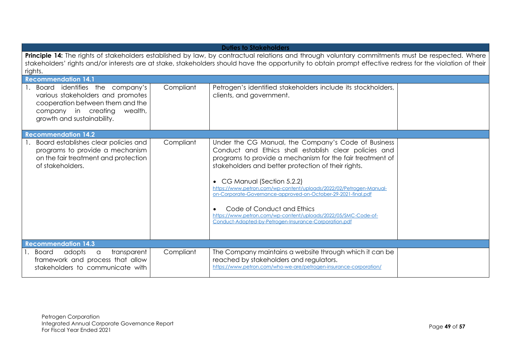| <b>Duties to Stakeholders</b>                                                                                                                                                                                                                                                                                             |           |                                                                                                                                                                                                                                                                                                                                                                                                                                                                                                                                                                 |  |  |
|---------------------------------------------------------------------------------------------------------------------------------------------------------------------------------------------------------------------------------------------------------------------------------------------------------------------------|-----------|-----------------------------------------------------------------------------------------------------------------------------------------------------------------------------------------------------------------------------------------------------------------------------------------------------------------------------------------------------------------------------------------------------------------------------------------------------------------------------------------------------------------------------------------------------------------|--|--|
| Principle 14: The rights of stakeholders established by law, by contractual relations and through voluntary commitments must be respected. Where<br>stakeholders' rights and/or interests are at stake, stakeholders should have the opportunity to obtain prompt effective redress for the violation of their<br>rights. |           |                                                                                                                                                                                                                                                                                                                                                                                                                                                                                                                                                                 |  |  |
| <b>Recommendation 14.1</b>                                                                                                                                                                                                                                                                                                |           |                                                                                                                                                                                                                                                                                                                                                                                                                                                                                                                                                                 |  |  |
| Board identifies the company's<br>various stakeholders and promotes<br>cooperation between them and the<br>company in creating<br>wealth,<br>growth and sustainability.                                                                                                                                                   | Compliant | Petrogen's identified stakeholders include its stockholders,<br>clients, and government.                                                                                                                                                                                                                                                                                                                                                                                                                                                                        |  |  |
| <b>Recommendation 14.2</b>                                                                                                                                                                                                                                                                                                |           |                                                                                                                                                                                                                                                                                                                                                                                                                                                                                                                                                                 |  |  |
| Board establishes clear policies and<br>programs to provide a mechanism<br>on the fair treatment and protection<br>of stakeholders.                                                                                                                                                                                       | Compliant | Under the CG Manual, the Company's Code of Business<br>Conduct and Ethics shall establish clear policies and<br>programs to provide a mechanism for the fair treatment of<br>stakeholders and better protection of their rights.<br>• CG Manual (Section 5.2.2)<br>https://www.petron.com/wp-content/uploads/2022/02/Petrogen-Manual-<br>on-Corporate-Governance-approved-on-October-29-2021-final.pdf<br>Code of Conduct and Ethics<br>https://www.petron.com/wp-content/uploads/2022/05/SMC-Code-of-<br>Conduct-Adopted-by-Petrogen-Insurance-Corporation.pdf |  |  |
| <b>Recommendation 14.3</b>                                                                                                                                                                                                                                                                                                |           |                                                                                                                                                                                                                                                                                                                                                                                                                                                                                                                                                                 |  |  |
| transparent<br>Board<br>adopts<br>a<br>framework and process that allow<br>stakeholders to communicate with                                                                                                                                                                                                               | Compliant | The Company maintains a website through which it can be<br>reached by stakeholders and regulators.<br>https://www.petron.com/who-we-are/petrogen-insurance-corporation/                                                                                                                                                                                                                                                                                                                                                                                         |  |  |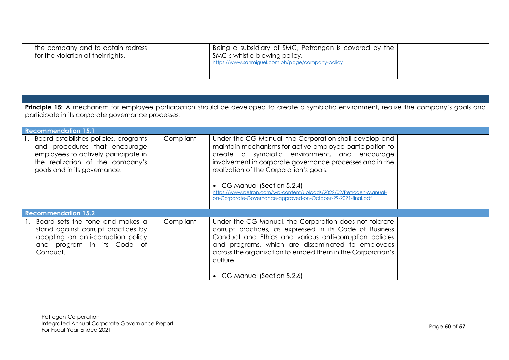| the company and to obtain redress  | Being a subsidiary of SMC, Petrongen is covered by the |  |
|------------------------------------|--------------------------------------------------------|--|
| for the violation of their rights. | SMC's whistle-blowing policy.                          |  |
|                                    | https://www.sanmiguel.com.ph/page/company-policy       |  |
|                                    |                                                        |  |

| <b>Principle 15:</b> A mechanism for employee participation should be developed to create a symbiotic environment, realize the company's goals and<br>participate in its corporate governance processes. |           |                                                                                                                                                                                                                                                                                                                                                                                                                                                  |  |  |
|----------------------------------------------------------------------------------------------------------------------------------------------------------------------------------------------------------|-----------|--------------------------------------------------------------------------------------------------------------------------------------------------------------------------------------------------------------------------------------------------------------------------------------------------------------------------------------------------------------------------------------------------------------------------------------------------|--|--|
| <b>Recommendation 15.1</b>                                                                                                                                                                               |           |                                                                                                                                                                                                                                                                                                                                                                                                                                                  |  |  |
| Board establishes policies, programs<br>and procedures that encourage<br>employees to actively participate in<br>the realization of the company's<br>goals and in its governance.                        | Compliant | Under the CG Manual, the Corporation shall develop and<br>maintain mechanisms for active employee participation to<br>create a symbiotic environment, and encourage<br>involvement in corporate governance processes and in the<br>realization of the Corporation's goals.<br>• CG Manual (Section 5.2.4)<br>https://www.petron.com/wp-content/uploads/2022/02/Petrogen-Manual-<br>on-Corporate-Governance-approved-on-October-29-2021-final.pdf |  |  |
| <b>Recommendation 15.2</b>                                                                                                                                                                               |           |                                                                                                                                                                                                                                                                                                                                                                                                                                                  |  |  |
| Board sets the tone and makes a<br>stand against corrupt practices by<br>adopting an anti-corruption policy<br>and program in its Code of<br>Conduct.                                                    | Compliant | Under the CG Manual, the Corporation does not tolerate<br>corrupt practices, as expressed in its Code of Business<br>Conduct and Ethics and various anti-corruption policies<br>and programs, which are disseminated to employees<br>across the organization to embed them in the Corporation's<br>culture.                                                                                                                                      |  |  |
|                                                                                                                                                                                                          |           | • CG Manual (Section 5.2.6)                                                                                                                                                                                                                                                                                                                                                                                                                      |  |  |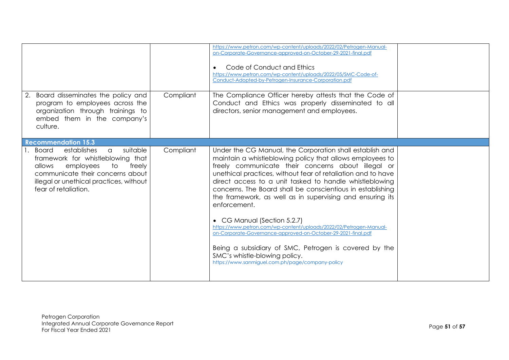|                                                                                                                                                                                                                                    |           | https://www.petron.com/wp-content/uploads/2022/02/Petrogen-Manual-<br>on-Corporate-Governance-approved-on-October-29-2021-final.pdf<br>Code of Conduct and Ethics<br>https://www.petron.com/wp-content/uploads/2022/05/SMC-Code-of-<br>Conduct-Adopted-by-Petrogen-Insurance-Corporation.pdf                                                                                                                                                                                                                                                                                                                                                                                                                                                                          |  |
|------------------------------------------------------------------------------------------------------------------------------------------------------------------------------------------------------------------------------------|-----------|-----------------------------------------------------------------------------------------------------------------------------------------------------------------------------------------------------------------------------------------------------------------------------------------------------------------------------------------------------------------------------------------------------------------------------------------------------------------------------------------------------------------------------------------------------------------------------------------------------------------------------------------------------------------------------------------------------------------------------------------------------------------------|--|
| Board disseminates the policy and<br>program to employees across the<br>organization through trainings to<br>embed them in the company's<br>culture.                                                                               | Compliant | The Compliance Officer hereby attests that the Code of<br>Conduct and Ethics was properly disseminated to all<br>directors, senior management and employees.                                                                                                                                                                                                                                                                                                                                                                                                                                                                                                                                                                                                          |  |
| <b>Recommendation 15.3</b>                                                                                                                                                                                                         |           |                                                                                                                                                                                                                                                                                                                                                                                                                                                                                                                                                                                                                                                                                                                                                                       |  |
| 1. Board<br>establishes<br>suitable<br>$\alpha$<br>framework for whistleblowing that<br>employees<br>allows<br>to<br>freely<br>communicate their concerns about<br>illegal or unethical practices, without<br>fear of retaliation. | Compliant | Under the CG Manual, the Corporation shall establish and<br>maintain a whistleblowing policy that allows employees to<br>freely communicate their concerns about illegal or<br>unethical practices, without fear of retaliation and to have<br>direct access to a unit tasked to handle whistleblowing<br>concerns. The Board shall be conscientious in establishing<br>the framework, as well as in supervising and ensuring its<br>enforcement.<br>• CG Manual (Section 5.2.7)<br>https://www.petron.com/wp-content/uploads/2022/02/Petrogen-Manual-<br>on-Corporate-Governance-approved-on-October-29-2021-final.pdf<br>Being a subsidiary of SMC, Petrogen is covered by the<br>SMC's whistle-blowing policy.<br>https://www.sanmiguel.com.ph/page/company-policy |  |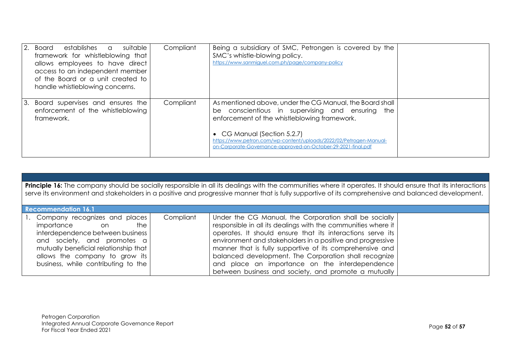|    | 2. Board<br>establishes a<br>suitable<br>framework for whistleblowing that<br>allows employees to have direct<br>access to an independent member<br>of the Board or a unit created to<br>handle whistleblowing concerns. | Compliant | Being a subsidiary of SMC, Petrongen is covered by the<br>SMC's whistle-blowing policy.<br>https://www.sanmiguel.com.ph/page/company-policy                                                                                                                                                                                        |  |
|----|--------------------------------------------------------------------------------------------------------------------------------------------------------------------------------------------------------------------------|-----------|------------------------------------------------------------------------------------------------------------------------------------------------------------------------------------------------------------------------------------------------------------------------------------------------------------------------------------|--|
| 3. | Board supervises and ensures the<br>enforcement of the whistleblowing<br>framework.                                                                                                                                      | Compliant | As mentioned above, under the CG Manual, the Board shall<br>be conscientious in supervising and ensuring the<br>enforcement of the whistleblowing framework.<br>• CG Manual (Section 5.2.7)<br>https://www.petron.com/wp-content/uploads/2022/02/Petrogen-Manual-<br>on-Corporate-Governance-approved-on-October-29-2021-final.pdf |  |

**Principle 16:** The company should be socially responsible in all its dealings with the communities where it operates. It should ensure that its interactions serve its environment and stakeholders in a positive and progressive manner that is fully supportive of its comprehensive and balanced development.

| <b>Recommendation 16.1</b>                                                                                                                                                                                                                       |           |                                                                                                                                                                                                                                                                                                                                                                                                                                                                                    |  |  |  |  |
|--------------------------------------------------------------------------------------------------------------------------------------------------------------------------------------------------------------------------------------------------|-----------|------------------------------------------------------------------------------------------------------------------------------------------------------------------------------------------------------------------------------------------------------------------------------------------------------------------------------------------------------------------------------------------------------------------------------------------------------------------------------------|--|--|--|--|
| 1. Company recognizes and places<br>importance<br>the<br>on<br>interdependence between business<br>and society, and promotes a<br>mutually beneficial relationship that<br>allows the company to grow its<br>business, while contributing to the | Compliant | Under the CG Manual, the Corporation shall be socially<br>responsible in all its dealings with the communities where it<br>operates. It should ensure that its interactions serve its<br>environment and stakeholders in a positive and progressive<br>manner that is fully supportive of its comprehensive and<br>balanced development. The Corporation shall recognize<br>and place an importance on the interdependence<br>between business and society, and promote a mutually |  |  |  |  |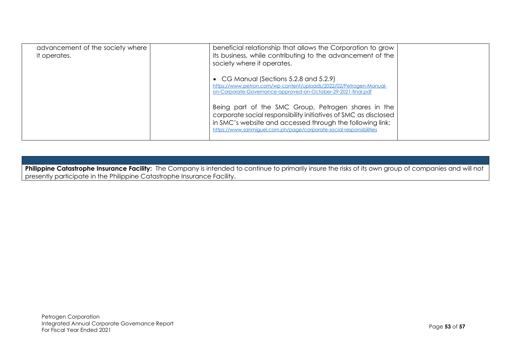| advancement of the society where<br>it operates. | beneficial relationship that allows the Corporation to grow<br>its business, while contributing to the advancement of the<br>society where it operates.                                                                                                    |  |
|--------------------------------------------------|------------------------------------------------------------------------------------------------------------------------------------------------------------------------------------------------------------------------------------------------------------|--|
|                                                  | • CG Manual (Sections $5.2.8$ and $5.2.9$ )<br>https://www.petron.com/wp-content/uploads/2022/02/Petrogen-Manual-<br>on-Corporate-Governance-approved-on-October-29-2021-final.pdf                                                                         |  |
|                                                  | Being part of the SMC Group, Petrogen shares in the<br>corporate social responsibility initiatives of SMC as disclosed<br>in SMC's website and accessed through the following link:<br>https://www.sanmiquel.com.ph/page/corporate-social-responsibilities |  |

Philippine Catastrophe Insurance Facility: The Company is intended to continue to primarily insure the risks of its own group of companies and will not presently participate in the Philippine Catastrophe Insurance Facility.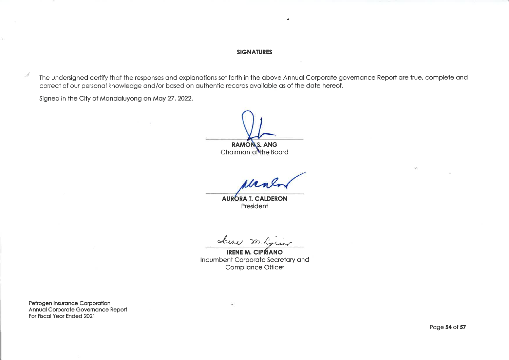### **SIGNATURES**

j.

The undersigned certify that the responses and explanations set forth in the above Annual Corporate governance Report are true, complete and correct of our personal knowledge and/or based on authentic records available as of the date hereof.

Signed in the City of Mandaluyong on May 27, 2022.

i d

**RAMONS. ANG** 

Chairman of the Board

**AURORA T. CALDERON** President

<u>Aresi</u>

**IRENE M. CIPRIANO** Incumbent Corporate Secretary and Compliance Officer

Petrogen Insurance Corporation Annual Corporate Governance Report For Fiscal Year Ended 2021

Page 54 of 57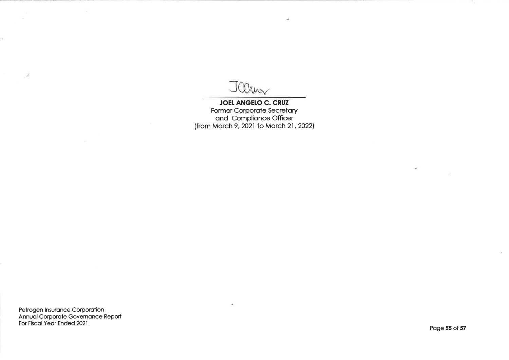Jeans

**JOEL ANGELO C. CRUZ** Former Corporate Secretary<br>and Compliance Officer<br>(from March 9, 2021 to March 21, 2022)

 $\Delta \vec{r}$ 

Petrogen Insurance Corporation<br>Annual Corporate Governance Report<br>For Fiscal Year Ended 2021

- di

Page 55 of 57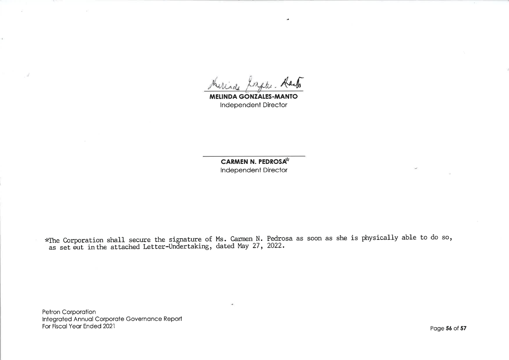a Kasto

**MELINDA GONZALES-MANTO** Independent Director

**CARMEN N. PEDROSA\*** Independent Director

\*The Corporation shall secure the signature of Ms. Carmen N. Pedrosa as soon as she is physically able to do so,<br>as set out in the attached Letter-Undertaking, dated May 27, 2022.

Petron Corporation Integrated Annual Corporate Governance Report For Fiscal Year Ended 2021

Å.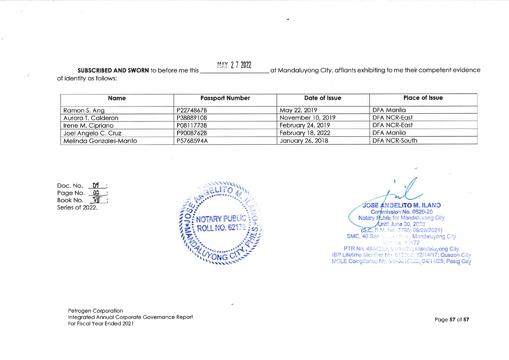SUBSCRIBED AND SWORN to before me this

at Mandaluyong City, affiants exhibiting to me their competent evidence

of identity as follows:

| <b>Name</b>            | <b>Passport Number</b> | Date of Issue            | <b>Place of Issue</b> |
|------------------------|------------------------|--------------------------|-----------------------|
| Ramon S. Ang           | P2274867B              | May 22, 2019             | DFA Manila            |
| Aurora T. Calderon     | P3888910B              | November 10, 2019        | <b>DFA NCR-East</b>   |
| Irene M. Cipriano      | P0811773B              | <b>February 24, 2019</b> | <b>DFA NCR-East</b>   |
| Joel Angelo C. Cruz    | P9008762B              | <b>February 18, 2022</b> | DFA Manila            |
| Melinda Gonzales-Manto | P5768594A              | January 26, 2018         | <b>DFA NCR-South</b>  |

MAY 27 2022

Doc. No.  $0<sup>9</sup>$ Page No. 03 Book No. V Series of 2022.



**JOSE ANGELITO M. ILANO** Commission No. 0520-20<br>
Notary Public for Mandaluyong City<br>
Until June 30, 2002<br>
(S.C. B.M. No. 3795; 09/28/2021)<br>
SMC, 40 Sen Mandaluyong City<br>
C. 10 Sen Mandaluyong City<br>
C. 10 Sen Mandaluyong City PTR No. 4834069; 6 (114/22; Mandeluyong City IBP Lifetime Member No. 013008; 12/14/17; Quezon City MCLE Compliance No. V8-3040522; 04/14/25; Pasig City

Petrogen Corporation Integrated Annual Corporate Governance Report For Fiscal Year Ended 2021